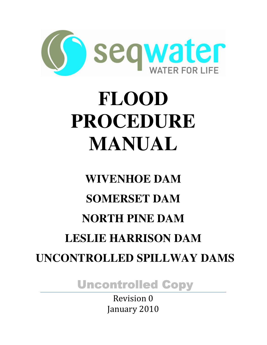

# **FLOOD PROCEDURE MANUAL**

# **WIVENHOE DAM SOMERSET DAM NORTH PINE DAM LESLIE HARRISON DAM UNCONTROLLED SPILLWAY DAMS**

**Uncontrolled Copy** 

Revision 0 January 2010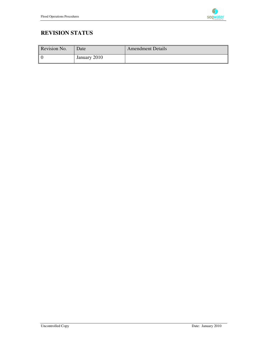

## **REVISION STATUS**

| Revision No. | Date         | <b>Amendment Details</b> |
|--------------|--------------|--------------------------|
| l 0          | January 2010 |                          |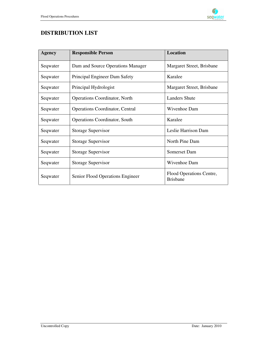

## **DISTRIBUTION LIST**

| <b>Agency</b> | <b>Responsible Person</b>              | Location                                    |  |  |
|---------------|----------------------------------------|---------------------------------------------|--|--|
| Seqwater      | Dam and Source Operations Manager      | Margaret Street, Brisbane                   |  |  |
| Seqwater      | Principal Engineer Dam Safety          | Karalee                                     |  |  |
| Seqwater      | Principal Hydrologist                  | Margaret Street, Brisbane                   |  |  |
| Seqwater      | <b>Operations Coordinator, North</b>   | <b>Landers Shute</b>                        |  |  |
| Seqwater      | <b>Operations Coordinator, Central</b> | Wivenhoe Dam                                |  |  |
| Seqwater      | <b>Operations Coordinator, South</b>   | Karalee                                     |  |  |
| Seqwater      | Storage Supervisor                     | Leslie Harrison Dam                         |  |  |
| Seqwater      | <b>Storage Supervisor</b>              | North Pine Dam                              |  |  |
| Seqwater      | <b>Storage Supervisor</b>              | Somerset Dam                                |  |  |
| Seqwater      | <b>Storage Supervisor</b>              | Wivenhoe Dam                                |  |  |
| Seqwater      | Senior Flood Operations Engineer       | Flood Operations Centre,<br><b>Brisbane</b> |  |  |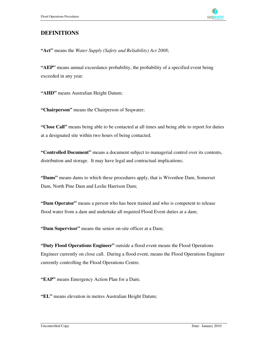

## **DEFINITIONS**

**"Act"** means the *Water Supply (Safety and Reliability) Act 2008*;

**"AEP"** means annual exceedance probability, the probability of a specified event being exceeded in any year.

**"AHD"** means Australian Height Datum;

**"Chairperson"** means the Chairperson of Seqwater;

**"Close Call"** means being able to be contacted at all times and being able to report for duties at a designated site within two hours of being contacted.

**"Controlled Document"** means a document subject to managerial control over its contents, distribution and storage. It may have legal and contractual implications;

**"Dams"** means dams to which these procedures apply, that is Wivenhoe Dam, Somerset Dam, North Pine Dam and Leslie Harrison Dam;

**"Dam Operator"** means a person who has been trained and who is competent to release flood water from a dam and undertake all required Flood Event duties at a dam;

**"Dam Supervisor"** means the senior on-site officer at a Dam;

**"Duty Flood Operations Engineer"** outside a flood event means the Flood Operations Engineer currently on close call. During a flood event, means the Flood Operations Engineer currently controlling the Flood Operations Centre.

**"EAP"** means Emergency Action Plan for a Dam;

**"EL"** means elevation in metres Australian Height Datum;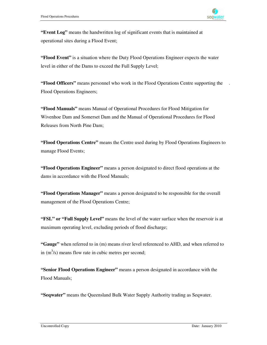.

**"Event Log"** means the handwritten log of significant events that is maintained at operational sites during a Flood Event;

**"Flood Event"** is a situation where the Duty Flood Operations Engineer expects the water level in either of the Dams to exceed the Full Supply Level;

**"Flood Officers"** means personnel who work in the Flood Operations Centre supporting the Flood Operations Engineers;

**"Flood Manuals"** means Manual of Operational Procedures for Flood Mitigation for Wivenhoe Dam and Somerset Dam and the Manual of Operational Procedures for Flood Releases from North Pine Dam;

**"Flood Operations Centre"** means the Centre used during by Flood Operations Engineers to manage Flood Events;

**"Flood Operations Engineer"** means a person designated to direct flood operations at the dams in accordance with the Flood Manuals;

**"Flood Operations Manager"** means a person designated to be responsible for the overall management of the Flood Operations Centre;

**"FSL" or "Full Supply Level"** means the level of the water surface when the reservoir is at maximum operating level, excluding periods of flood discharge;

**"Gauge"** when referred to in (m) means river level referenced to AHD, and when referred to in  $(m<sup>3</sup>/s)$  means flow rate in cubic metres per second;

**"Senior Flood Operations Engineer"** means a person designated in accordance with the Flood Manuals;

**"Seqwater"** means the Queensland Bulk Water Supply Authority trading as Seqwater.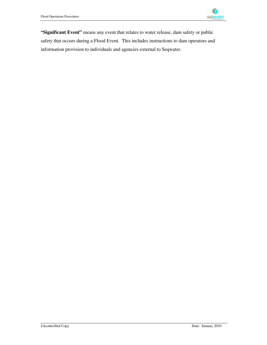

**"Significant Event"** means any event that relates to water release, dam safety or public safety that occurs during a Flood Event. This includes instructions to dam operators and information provision to individuals and agencies external to Seqwater.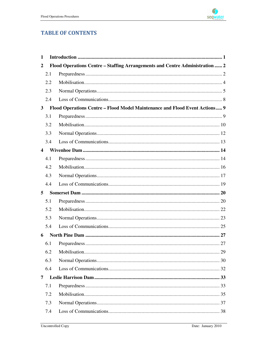

## **TABLE OF CONTENTS**

| 1                       |     |                                                                              |  |
|-------------------------|-----|------------------------------------------------------------------------------|--|
| $\overline{2}$          |     | Flood Operations Centre - Staffing Arrangements and Centre Administration  2 |  |
|                         | 2.1 |                                                                              |  |
|                         | 2.2 |                                                                              |  |
|                         | 2.3 |                                                                              |  |
|                         | 2.4 |                                                                              |  |
| $\mathbf{3}$            |     | Flood Operations Centre - Flood Model Maintenance and Flood Event Actions 9  |  |
|                         | 3.1 |                                                                              |  |
|                         | 3.2 |                                                                              |  |
|                         | 3.3 |                                                                              |  |
|                         | 3.4 |                                                                              |  |
| $\overline{\mathbf{4}}$ |     |                                                                              |  |
|                         | 4.1 |                                                                              |  |
|                         | 4.2 |                                                                              |  |
|                         | 4.3 |                                                                              |  |
|                         | 4.4 |                                                                              |  |
| 5                       |     |                                                                              |  |
|                         | 5.1 |                                                                              |  |
|                         | 5.2 |                                                                              |  |
|                         | 5.3 |                                                                              |  |
|                         | 5.4 |                                                                              |  |
| 6                       |     |                                                                              |  |
|                         | 6.1 |                                                                              |  |
|                         | 6.2 |                                                                              |  |
|                         | 6.3 |                                                                              |  |
|                         | 6.4 |                                                                              |  |
| 7                       |     |                                                                              |  |
|                         | 7.1 |                                                                              |  |
|                         | 7.2 |                                                                              |  |
|                         | 7.3 |                                                                              |  |
|                         | 7.4 |                                                                              |  |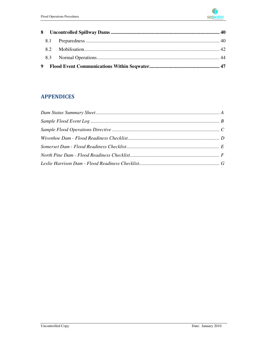

## **APPENDICES**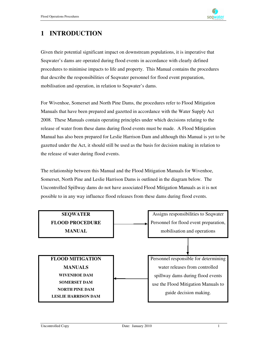## **1 INTRODUCTION**

Given their potential significant impact on downstream populations, it is imperative that Seqwater's dams are operated during flood events in accordance with clearly defined procedures to minimise impacts to life and property. This Manual contains the procedures that describe the responsibilities of Seqwater personnel for flood event preparation, mobilisation and operation, in relation to Seqwater's dams.

For Wivenhoe, Somerset and North Pine Dams, the procedures refer to Flood Mitigation Manuals that have been prepared and gazetted in accordance with the Water Supply Act 2008. These Manuals contain operating principles under which decisions relating to the release of water from these dams during flood events must be made. A Flood Mitigation Manual has also been prepared for Leslie Harrison Dam and although this Manual is yet to be gazetted under the Act, it should still be used as the basis for decision making in relation to the release of water during flood events.

The relationship between this Manual and the Flood Mitigation Manuals for Wivenhoe, Somerset, North Pine and Leslie Harrison Dams is outlined in the diagram below. The Uncontrolled Spillway dams do not have associated Flood Mitigation Manuals as it is not possible to in any way influence flood releases from these dams during flood events.

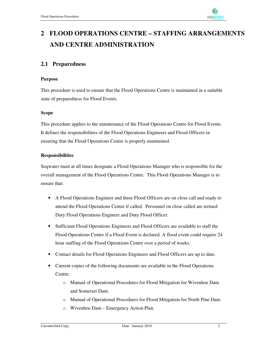

# **2 FLOOD OPERATIONS CENTRE – STAFFING ARRANGEMENTS AND CENTRE ADMINISTRATION**

## **2.1 Preparedness**

#### **Purpose**

This procedure is used to ensure that the Flood Operations Centre is maintained in a suitable state of preparedness for Flood Events.

#### **Scope**

This procedure applies to the maintenance of the Flood Operations Centre for Flood Events. It defines the responsibilities of the Flood Operations Engineers and Flood Officers in ensuring that the Flood Operations Centre is properly maintained.

#### **Responsibilities**

Seqwater must at all times designate a Flood Operations Manager who is responsible for the overall management of the Flood Operations Centre. This Flood Operations Manager is to ensure that:

- A Flood Operations Engineer and three Flood Officers are on close call and ready to attend the Flood Operations Centre if called. Personnel on close called are termed Duty Flood Operations Engineer and Duty Flood Officer.
- Sufficient Flood Operations Engineers and Flood Officers are available to staff the Flood Operations Centre if a Flood Event is declared. A flood event could require 24 hour staffing of the Flood Operations Centre over a period of weeks.
- Contact details for Flood Operations Engineers and Flood Officers are up to date.
- Current copies of the following documents are available in the Flood Operations Centre:
	- o Manual of Operational Procedures for Flood Mitigation for Wivenhoe Dam and Somerset Dam.
	- o Manual of Operational Procedures for Flood Mitigation for North Pine Dam.
	- o Wivenhoe Dam Emergency Action Plan.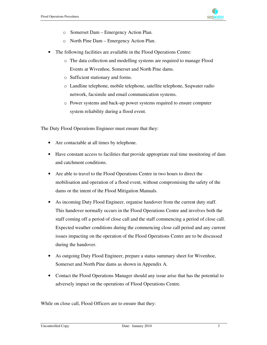

- o Somerset Dam Emergency Action Plan.
- o North Pine Dam Emergency Action Plan.
- The following facilities are available in the Flood Operations Centre:
	- o The data collection and modelling systems are required to manage Flood Events at Wivenhoe, Somerset and North Pine dams.
	- o Sufficient stationary and forms.
	- o Landline telephone, mobile telephone, satellite telephone, Seqwater radio network, facsimile and email communication systems.
	- o Power systems and back-up power systems required to ensure computer system reliability during a flood event.

The Duty Flood Operations Engineer must ensure that they:

- Are contactable at all times by telephone.
- Have constant access to facilities that provide appropriate real time monitoring of dam and catchment conditions.
- Are able to travel to the Flood Operations Centre in two hours to direct the mobilisation and operation of a flood event, without compromising the safety of the dams or the intent of the Flood Mitigation Manuals.
- As incoming Duty Flood Engineer, organise handover from the current duty staff. This handover normally occurs in the Flood Operations Centre and involves both the staff coming off a period of close call and the staff commencing a period of close call. Expected weather conditions during the commencing close call period and any current issues impacting on the operation of the Flood Operations Centre are to be discussed during the handover.
- As outgoing Duty Flood Engineer, prepare a status summary sheet for Wivenhoe, Somerset and North Pine dams as shown in Appendix A.
- Contact the Flood Operations Manager should any issue arise that has the potential to adversely impact on the operations of Flood Operations Centre.

While on close call, Flood Officers are to ensure that they: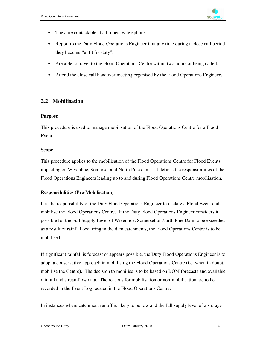

- They are contactable at all times by telephone.
- Report to the Duty Flood Operations Engineer if at any time during a close call period they become "unfit for duty".
- Are able to travel to the Flood Operations Centre within two hours of being called.
- Attend the close call handover meeting organised by the Flood Operations Engineers.

#### **2.2 Mobilisation**

#### **Purpose**

This procedure is used to manage mobilisation of the Flood Operations Centre for a Flood Event.

#### **Scope**

This procedure applies to the mobilisation of the Flood Operations Centre for Flood Events impacting on Wivenhoe, Somerset and North Pine dams. It defines the responsibilities of the Flood Operations Engineers leading up to and during Flood Operations Centre mobilisation.

#### **Responsibilities (Pre-Mobilisation)**

It is the responsibility of the Duty Flood Operations Engineer to declare a Flood Event and mobilise the Flood Operations Centre. If the Duty Flood Operations Engineer considers it possible for the Full Supply Level of Wivenhoe, Somerset or North Pine Dam to be exceeded as a result of rainfall occurring in the dam catchments, the Flood Operations Centre is to be mobilised.

If significant rainfall is forecast or appears possible, the Duty Flood Operations Engineer is to adopt a conservative approach in mobilising the Flood Operations Centre (i.e. when in doubt, mobilise the Centre). The decision to mobilise is to be based on BOM forecasts and available rainfall and streamflow data. The reasons for mobilisation or non-mobilisation are to be recorded in the Event Log located in the Flood Operations Centre.

In instances where catchment runoff is likely to be low and the full supply level of a storage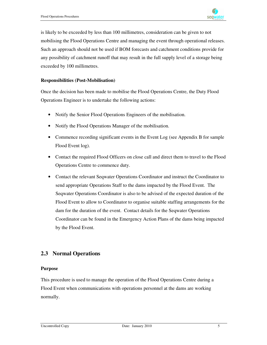

is likely to be exceeded by less than 100 millimetres, consideration can be given to not mobilising the Flood Operations Centre and managing the event through operational releases. Such an approach should not be used if BOM forecasts and catchment conditions provide for any possibility of catchment runoff that may result in the full supply level of a storage being exceeded by 100 millimetres.

#### **Responsibilities (Post-Mobilisation)**

Once the decision has been made to mobilise the Flood Operations Centre, the Duty Flood Operations Engineer is to undertake the following actions:

- Notify the Senior Flood Operations Engineers of the mobilisation.
- Notify the Flood Operations Manager of the mobilisation.
- Commence recording significant events in the Event Log (see Appendix B for sample Flood Event log).
- Contact the required Flood Officers on close call and direct them to travel to the Flood Operations Centre to commence duty.
- Contact the relevant Seqwater Operations Coordinator and instruct the Coordinator to send appropriate Operations Staff to the dams impacted by the Flood Event. The Seqwater Operations Coordinator is also to be advised of the expected duration of the Flood Event to allow to Coordinator to organise suitable staffing arrangements for the dam for the duration of the event. Contact details for the Seqwater Operations Coordinator can be found in the Emergency Action Plans of the dams being impacted by the Flood Event.

#### **2.3 Normal Operations**

#### **Purpose**

This procedure is used to manage the operation of the Flood Operations Centre during a Flood Event when communications with operations personnel at the dams are working normally.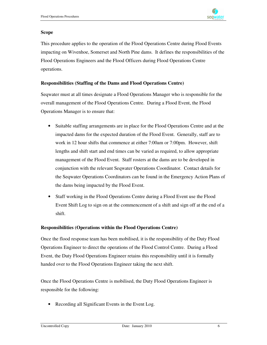

#### **Scope**

This procedure applies to the operation of the Flood Operations Centre during Flood Events impacting on Wivenhoe, Somerset and North Pine dams. It defines the responsibilities of the Flood Operations Engineers and the Flood Officers during Flood Operations Centre operations.

#### **Responsibilities (Staffing of the Dams and Flood Operations Centre)**

Seqwater must at all times designate a Flood Operations Manager who is responsible for the overall management of the Flood Operations Centre. During a Flood Event, the Flood Operations Manager is to ensure that:

- Suitable staffing arrangements are in place for the Flood Operations Centre and at the impacted dams for the expected duration of the Flood Event. Generally, staff are to work in 12 hour shifts that commence at either 7:00am or 7:00pm. However, shift lengths and shift start and end times can be varied as required, to allow appropriate management of the Flood Event. Staff rosters at the dams are to be developed in conjunction with the relevant Seqwater Operations Coordinator. Contact details for the Seqwater Operations Coordinators can be found in the Emergency Action Plans of the dams being impacted by the Flood Event.
- Staff working in the Flood Operations Centre during a Flood Event use the Flood Event Shift Log to sign on at the commencement of a shift and sign off at the end of a shift.

#### **Responsibilities (Operations within the Flood Operations Centre)**

Once the flood response team has been mobilised, it is the responsibility of the Duty Flood Operations Engineer to direct the operations of the Flood Control Centre. During a Flood Event, the Duty Flood Operations Engineer retains this responsibility until it is formally handed over to the Flood Operations Engineer taking the next shift.

Once the Flood Operations Centre is mobilised, the Duty Flood Operations Engineer is responsible for the following:

Recording all Significant Events in the Event Log.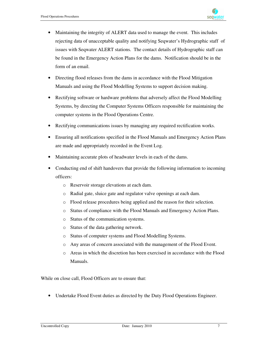

- Maintaining the integrity of ALERT data used to manage the event. This includes rejecting data of unacceptable quality and notifying Seqwater's Hydrographic staff of issues with Seqwater ALERT stations. The contact details of Hydrographic staff can be found in the Emergency Action Plans for the dams. Notification should be in the form of an email.
- Directing flood releases from the dams in accordance with the Flood Mitigation Manuals and using the Flood Modelling Systems to support decision making.
- Rectifying software or hardware problems that adversely affect the Flood Modelling Systems, by directing the Computer Systems Officers responsible for maintaining the computer systems in the Flood Operations Centre.
- Rectifying communications issues by managing any required rectification works.
- Ensuring all notifications specified in the Flood Manuals and Emergency Action Plans are made and appropriately recorded in the Event Log.
- Maintaining accurate plots of headwater levels in each of the dams.
- Conducting end of shift handovers that provide the following information to incoming officers:
	- o Reservoir storage elevations at each dam.
	- o Radial gate, sluice gate and regulator valve openings at each dam.
	- o Flood release procedures being applied and the reason for their selection.
	- o Status of compliance with the Flood Manuals and Emergency Action Plans.
	- o Status of the communication systems.
	- o Status of the data gathering network.
	- o Status of computer systems and Flood Modelling Systems.
	- o Any areas of concern associated with the management of the Flood Event.
	- o Areas in which the discretion has been exercised in accordance with the Flood Manuals.

While on close call, Flood Officers are to ensure that:

• Undertake Flood Event duties as directed by the Duty Flood Operations Engineer.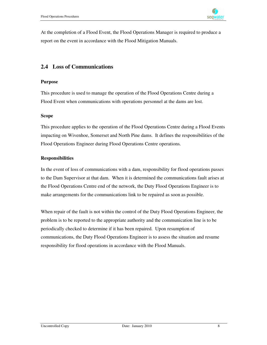At the completion of a Flood Event, the Flood Operations Manager is required to produce a report on the event in accordance with the Flood Mitigation Manuals.

## **2.4 Loss of Communications**

#### **Purpose**

This procedure is used to manage the operation of the Flood Operations Centre during a Flood Event when communications with operations personnel at the dams are lost.

#### **Scope**

This procedure applies to the operation of the Flood Operations Centre during a Flood Events impacting on Wivenhoe, Somerset and North Pine dams. It defines the responsibilities of the Flood Operations Engineer during Flood Operations Centre operations.

#### **Responsibilities**

In the event of loss of communications with a dam, responsibility for flood operations passes to the Dam Supervisor at that dam. When it is determined the communications fault arises at the Flood Operations Centre end of the network, the Duty Flood Operations Engineer is to make arrangements for the communications link to be repaired as soon as possible.

When repair of the fault is not within the control of the Duty Flood Operations Engineer, the problem is to be reported to the appropriate authority and the communication line is to be periodically checked to determine if it has been repaired. Upon resumption of communications, the Duty Flood Operations Engineer is to assess the situation and resume responsibility for flood operations in accordance with the Flood Manuals.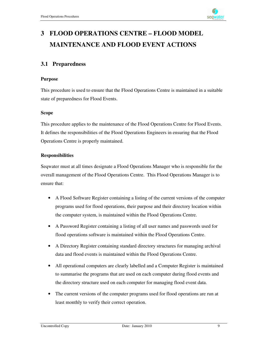# **3 FLOOD OPERATIONS CENTRE – FLOOD MODEL MAINTENANCE AND FLOOD EVENT ACTIONS**

## **3.1 Preparedness**

#### **Purpose**

This procedure is used to ensure that the Flood Operations Centre is maintained in a suitable state of preparedness for Flood Events.

#### **Scope**

This procedure applies to the maintenance of the Flood Operations Centre for Flood Events. It defines the responsibilities of the Flood Operations Engineers in ensuring that the Flood Operations Centre is properly maintained.

#### **Responsibilities**

Seqwater must at all times designate a Flood Operations Manager who is responsible for the overall management of the Flood Operations Centre. This Flood Operations Manager is to ensure that:

- A Flood Software Register containing a listing of the current versions of the computer programs used for flood operations, their purpose and their directory location within the computer system, is maintained within the Flood Operations Centre.
- A Password Register containing a listing of all user names and passwords used for flood operations software is maintained within the Flood Operations Centre.
- A Directory Register containing standard directory structures for managing archival data and flood events is maintained within the Flood Operations Centre.
- All operational computers are clearly labelled and a Computer Register is maintained to summarise the programs that are used on each computer during flood events and the directory structure used on each computer for managing flood event data.
- The current versions of the computer programs used for flood operations are run at least monthly to verify their correct operation.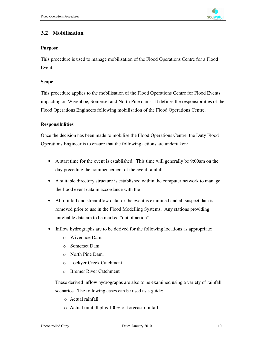

## **3.2 Mobilisation**

#### **Purpose**

This procedure is used to manage mobilisation of the Flood Operations Centre for a Flood Event.

#### **Scope**

This procedure applies to the mobilisation of the Flood Operations Centre for Flood Events impacting on Wivenhoe, Somerset and North Pine dams. It defines the responsibilities of the Flood Operations Engineers following mobilisation of the Flood Operations Centre.

#### **Responsibilities**

Once the decision has been made to mobilise the Flood Operations Centre, the Duty Flood Operations Engineer is to ensure that the following actions are undertaken:

- A start time for the event is established. This time will generally be 9:00am on the day preceding the commencement of the event rainfall.
- A suitable directory structure is established within the computer network to manage the flood event data in accordance with the
- All rainfall and streamflow data for the event is examined and all suspect data is removed prior to use in the Flood Modelling Systems. Any stations providing unreliable data are to be marked "out of action".
- Inflow hydrographs are to be derived for the following locations as appropriate:
	- o Wivenhoe Dam.
	- o Somerset Dam.
	- o North Pine Dam.
	- o Lockyer Creek Catchment.
	- o Bremer River Catchment

These derived inflow hydrographs are also to be examined using a variety of rainfall scenarios. The following cases can be used as a guide:

- o Actual rainfall.
- o Actual rainfall plus 100% of forecast rainfall.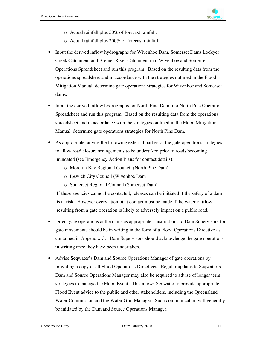

- o Actual rainfall plus 50% of forecast rainfall.
- o Actual rainfall plus 200% of forecast rainfall.
- Input the derived inflow hydrographs for Wivenhoe Dam, Somerset Dams Lockyer Creek Catchment and Bremer River Catchment into Wivenhoe and Somerset Operations Spreadsheet and run this program. Based on the resulting data from the operations spreadsheet and in accordance with the strategies outlined in the Flood Mitigation Manual, determine gate operations strategies for Wivenhoe and Somerset dams.
- Input the derived inflow hydrographs for North Pine Dam into North Pine Operations Spreadsheet and run this program. Based on the resulting data from the operations spreadsheet and in accordance with the strategies outlined in the Flood Mitigation Manual, determine gate operations strategies for North Pine Dam.
- As appropriate, advise the following external parties of the gate operations strategies to allow road closure arrangements to be undertaken prior to roads becoming inundated (see Emergency Action Plans for contact details):
	- o Moreton Bay Regional Council (North Pine Dam)
	- o Ipswich City Council (Wivenhoe Dam)
	- o Somerset Regional Council (Somerset Dam)

If these agencies cannot be contacted, releases can be initiated if the safety of a dam is at risk. However every attempt at contact must be made if the water outflow resulting from a gate operation is likely to adversely impact on a public road.

- Direct gate operations at the dams as appropriate. Instructions to Dam Supervisors for gate movements should be in writing in the form of a Flood Operations Directive as contained in Appendix C. Dam Supervisors should acknowledge the gate operations in writing once they have been undertaken.
- Advise Seqwater's Dam and Source Operations Manager of gate operations by providing a copy of all Flood Operations Directives. Regular updates to Seqwater's Dam and Source Operations Manager may also be required to advise of longer term strategies to manage the Flood Event. This allows Seqwater to provide appropriate Flood Event advice to the public and other stakeholders, including the Queensland Water Commission and the Water Grid Manager. Such communication will generally be initiated by the Dam and Source Operations Manager.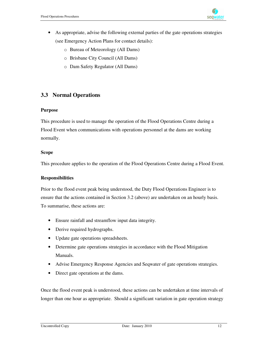

- As appropriate, advise the following external parties of the gate operations strategies (see Emergency Action Plans for contact details):
	- o Bureau of Meteorology (All Dams)
	- o Brisbane City Council (All Dams)
	- o Dam Safety Regulator (All Dams)

## **3.3 Normal Operations**

#### **Purpose**

This procedure is used to manage the operation of the Flood Operations Centre during a Flood Event when communications with operations personnel at the dams are working normally.

#### **Scope**

This procedure applies to the operation of the Flood Operations Centre during a Flood Event.

#### **Responsibilities**

Prior to the flood event peak being understood, the Duty Flood Operations Engineer is to ensure that the actions contained in Section 3.2 (above) are undertaken on an hourly basis. To summarise, these actions are:

- Ensure rainfall and streamflow input data integrity.
- Derive required hydrographs.
- Update gate operations spreadsheets.
- Determine gate operations strategies in accordance with the Flood Mitigation Manuals.
- Advise Emergency Response Agencies and Seqwater of gate operations strategies.
- Direct gate operations at the dams.

Once the flood event peak is understood, these actions can be undertaken at time intervals of longer than one hour as appropriate. Should a significant variation in gate operation strategy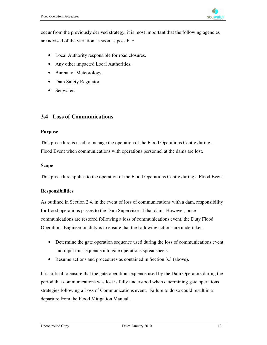

occur from the previously derived strategy, it is most important that the following agencies are advised of the variation as soon as possible:

- Local Authority responsible for road closures.
- Any other impacted Local Authorities.
- Bureau of Meteorology.
- Dam Safety Regulator.
- Seqwater.

#### **3.4 Loss of Communications**

#### **Purpose**

This procedure is used to manage the operation of the Flood Operations Centre during a Flood Event when communications with operations personnel at the dams are lost.

#### **Scope**

This procedure applies to the operation of the Flood Operations Centre during a Flood Event.

#### **Responsibilities**

As outlined in Section 2.4, in the event of loss of communications with a dam, responsibility for flood operations passes to the Dam Supervisor at that dam. However, once communications are restored following a loss of communications event, the Duty Flood Operations Engineer on duty is to ensure that the following actions are undertaken.

- Determine the gate operation sequence used during the loss of communications event and input this sequence into gate operations spreadsheets.
- Resume actions and procedures as contained in Section 3.3 (above).

It is critical to ensure that the gate operation sequence used by the Dam Operators during the period that communications was lost is fully understood when determining gate operations strategies following a Loss of Communications event. Failure to do so could result in a departure from the Flood Mitigation Manual.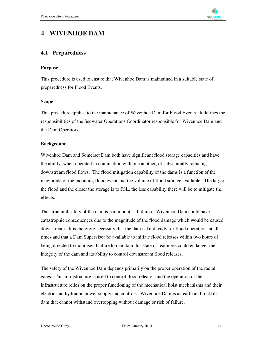

## **4 WIVENHOE DAM**

#### **4.1 Preparedness**

#### **Purpose**

This procedure is used to ensure that Wivenhoe Dam is maintained in a suitable state of preparedness for Flood Events.

#### **Scope**

This procedure applies to the maintenance of Wivenhoe Dam for Flood Events. It defines the responsibilities of the Seqwater Operations Coordinator responsible for Wivenhoe Dam and the Dam Operators.

#### **Background**

Wivenhoe Dam and Somerset Dam both have significant flood storage capacities and have the ability, when operated in conjunction with one another, of substantially reducing downstream flood flows. The flood mitigation capability of the dams is a function of the magnitude of the incoming flood event and the volume of flood storage available. The larger the flood and the closer the storage is to FSL, the less capability there will be to mitigate the effects.

The structural safety of the dam is paramount as failure of Wivenhoe Dam could have catastrophic consequences due to the magnitude of the flood damage which would be caused downstream. It is therefore necessary that the dam is kept ready for flood operations at all times and that a Dam Supervisor be available to initiate flood releases within two hours of being directed to mobilise. Failure to maintain this state of readiness could endanger the integrity of the dam and its ability to control downstream flood releases.

The safety of the Wivenhoe Dam depends primarily on the proper operation of the radial gates. This infrastructure is used to control flood releases and the operation of the infrastructure relies on the proper functioning of the mechanical hoist mechanisms and their electric and hydraulic power supply and controls. Wivenhoe Dam is an earth and rockfill dam that cannot withstand overtopping without damage or risk of failure.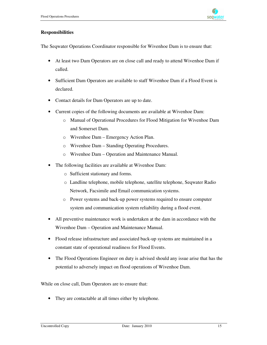#### **Responsibilities**

The Seqwater Operations Coordinator responsible for Wivenhoe Dam is to ensure that:

- At least two Dam Operators are on close call and ready to attend Wivenhoe Dam if called.
- Sufficient Dam Operators are available to staff Wivenhoe Dam if a Flood Event is declared.
- Contact details for Dam Operators are up to date.
- Current copies of the following documents are available at Wivenhoe Dam:
	- o Manual of Operational Procedures for Flood Mitigation for Wivenhoe Dam and Somerset Dam.
	- o Wivenhoe Dam Emergency Action Plan.
	- o Wivenhoe Dam Standing Operating Procedures.
	- o Wivenhoe Dam Operation and Maintenance Manual.
- The following facilities are available at Wivenhoe Dam:
	- o Sufficient stationary and forms.
	- o Landline telephone, mobile telephone, satellite telephone, Seqwater Radio Network, Facsimile and Email communication systems.
	- o Power systems and back-up power systems required to ensure computer system and communication system reliability during a flood event.
- All preventive maintenance work is undertaken at the dam in accordance with the Wivenhoe Dam – Operation and Maintenance Manual.
- Flood release infrastructure and associated back-up systems are maintained in a constant state of operational readiness for Flood Events.
- The Flood Operations Engineer on duty is advised should any issue arise that has the potential to adversely impact on flood operations of Wivenhoe Dam.

While on close call, Dam Operators are to ensure that:

• They are contactable at all times either by telephone.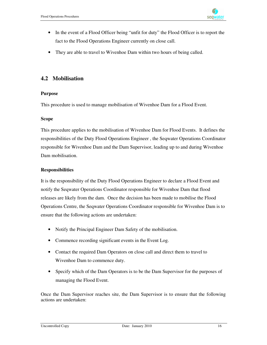- In the event of a Flood Officer being "unfit for duty" the Flood Officer is to report the fact to the Flood Operations Engineer currently on close call.
- They are able to travel to Wivenhoe Dam within two hours of being called.

## **4.2 Mobilisation**

#### **Purpose**

This procedure is used to manage mobilisation of Wivenhoe Dam for a Flood Event.

#### **Scope**

This procedure applies to the mobilisation of Wivenhoe Dam for Flood Events. It defines the responsibilities of the Duty Flood Operations Engineer , the Seqwater Operations Coordinator responsible for Wivenhoe Dam and the Dam Supervisor, leading up to and during Wivenhoe Dam mobilisation.

#### **Responsibilities**

It is the responsibility of the Duty Flood Operations Engineer to declare a Flood Event and notify the Seqwater Operations Coordinator responsible for Wivenhoe Dam that flood releases are likely from the dam. Once the decision has been made to mobilise the Flood Operations Centre, the Seqwater Operations Coordinator responsible for Wivenhoe Dam is to ensure that the following actions are undertaken:

- Notify the Principal Engineer Dam Safety of the mobilisation.
- Commence recording significant events in the Event Log.
- Contact the required Dam Operators on close call and direct them to travel to Wivenhoe Dam to commence duty.
- Specify which of the Dam Operators is to be the Dam Supervisor for the purposes of managing the Flood Event.

Once the Dam Supervisor reaches site, the Dam Supervisor is to ensure that the following actions are undertaken: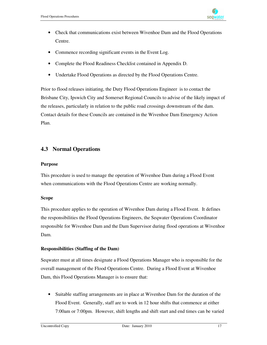

- Check that communications exist between Wivenhoe Dam and the Flood Operations Centre.
- Commence recording significant events in the Event Log.
- Complete the Flood Readiness Checklist contained in Appendix D.
- Undertake Flood Operations as directed by the Flood Operations Centre.

Prior to flood releases initiating, the Duty Flood Operations Engineer is to contact the Brisbane City, Ipswich City and Somerset Regional Councils to advise of the likely impact of the releases, particularly in relation to the public road crossings downstream of the dam. Contact details for these Councils are contained in the Wivenhoe Dam Emergency Action Plan.

## **4.3 Normal Operations**

#### **Purpose**

This procedure is used to manage the operation of Wivenhoe Dam during a Flood Event when communications with the Flood Operations Centre are working normally.

#### **Scope**

This procedure applies to the operation of Wivenhoe Dam during a Flood Event. It defines the responsibilities the Flood Operations Engineers, the Seqwater Operations Coordinator responsible for Wivenhoe Dam and the Dam Supervisor during flood operations at Wivenhoe Dam.

#### **Responsibilities (Staffing of the Dam)**

Seqwater must at all times designate a Flood Operations Manager who is responsible for the overall management of the Flood Operations Centre. During a Flood Event at Wivenhoe Dam, this Flood Operations Manager is to ensure that:

• Suitable staffing arrangements are in place at Wivenhoe Dam for the duration of the Flood Event. Generally, staff are to work in 12 hour shifts that commence at either 7:00am or 7:00pm. However, shift lengths and shift start and end times can be varied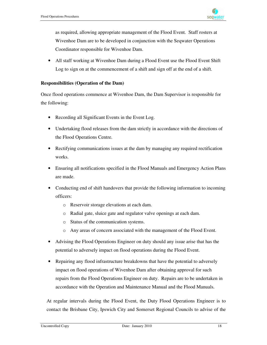as required, allowing appropriate management of the Flood Event. Staff rosters at Wivenhoe Dam are to be developed in conjunction with the Seqwater Operations Coordinator responsible for Wivenhoe Dam.

All staff working at Wivenhoe Dam during a Flood Event use the Flood Event Shift Log to sign on at the commencement of a shift and sign off at the end of a shift.

#### **Responsibilities (Operation of the Dam)**

Once flood operations commence at Wivenhoe Dam, the Dam Supervisor is responsible for the following:

- Recording all Significant Events in the Event Log.
- Undertaking flood releases from the dam strictly in accordance with the directions of the Flood Operations Centre.
- Rectifying communications issues at the dam by managing any required rectification works.
- Ensuring all notifications specified in the Flood Manuals and Emergency Action Plans are made.
- Conducting end of shift handovers that provide the following information to incoming officers:
	- o Reservoir storage elevations at each dam.
	- o Radial gate, sluice gate and regulator valve openings at each dam.
	- o Status of the communication systems.
	- o Any areas of concern associated with the management of the Flood Event.
- Advising the Flood Operations Engineer on duty should any issue arise that has the potential to adversely impact on flood operations during the Flood Event.
- Repairing any flood infrastructure breakdowns that have the potential to adversely impact on flood operations of Wivenhoe Dam after obtaining approval for such repairs from the Flood Operations Engineer on duty. Repairs are to be undertaken in accordance with the Operation and Maintenance Manual and the Flood Manuals.

At regular intervals during the Flood Event, the Duty Flood Operations Engineer is to contact the Brisbane City, Ipswich City and Somerset Regional Councils to advise of the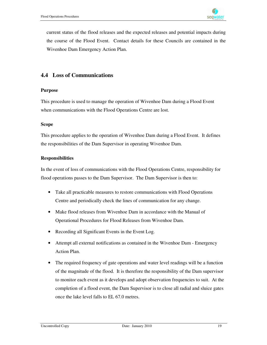current status of the flood releases and the expected releases and potential impacts during the course of the Flood Event. Contact details for these Councils are contained in the Wivenhoe Dam Emergency Action Plan.

## **4.4 Loss of Communications**

#### **Purpose**

This procedure is used to manage the operation of Wivenhoe Dam during a Flood Event when communications with the Flood Operations Centre are lost.

#### **Scope**

This procedure applies to the operation of Wivenhoe Dam during a Flood Event. It defines the responsibilities of the Dam Supervisor in operating Wivenhoe Dam.

#### **Responsibilities**

In the event of loss of communications with the Flood Operations Centre, responsibility for flood operations passes to the Dam Supervisor. The Dam Supervisor is then to:

- Take all practicable measures to restore communications with Flood Operations Centre and periodically check the lines of communication for any change.
- Make flood releases from Wivenhoe Dam in accordance with the Manual of Operational Procedures for Flood Releases from Wivenhoe Dam.
- Recording all Significant Events in the Event Log.
- Attempt all external notifications as contained in the Wivenhoe Dam Emergency Action Plan.
- The required frequency of gate operations and water level readings will be a function of the magnitude of the flood. It is therefore the responsibility of the Dam supervisor to monitor each event as it develops and adopt observation frequencies to suit. At the completion of a flood event, the Dam Supervisor is to close all radial and sluice gates once the lake level falls to EL 67.0 metres.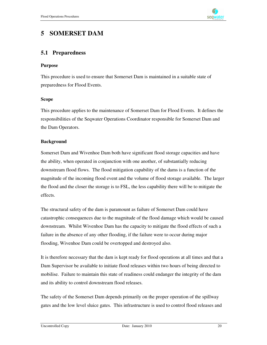

## **5 SOMERSET DAM**

#### **5.1 Preparedness**

#### **Purpose**

This procedure is used to ensure that Somerset Dam is maintained in a suitable state of preparedness for Flood Events.

#### **Scope**

This procedure applies to the maintenance of Somerset Dam for Flood Events. It defines the responsibilities of the Seqwater Operations Coordinator responsible for Somerset Dam and the Dam Operators.

#### **Background**

Somerset Dam and Wivenhoe Dam both have significant flood storage capacities and have the ability, when operated in conjunction with one another, of substantially reducing downstream flood flows. The flood mitigation capability of the dams is a function of the magnitude of the incoming flood event and the volume of flood storage available. The larger the flood and the closer the storage is to FSL, the less capability there will be to mitigate the effects.

The structural safety of the dam is paramount as failure of Somerset Dam could have catastrophic consequences due to the magnitude of the flood damage which would be caused downstream. Whilst Wivenhoe Dam has the capacity to mitigate the flood effects of such a failure in the absence of any other flooding, if the failure were to occur during major flooding, Wivenhoe Dam could be overtopped and destroyed also.

It is therefore necessary that the dam is kept ready for flood operations at all times and that a Dam Supervisor be available to initiate flood releases within two hours of being directed to mobilise. Failure to maintain this state of readiness could endanger the integrity of the dam and its ability to control downstream flood releases.

The safety of the Somerset Dam depends primarily on the proper operation of the spillway gates and the low level sluice gates. This infrastructure is used to control flood releases and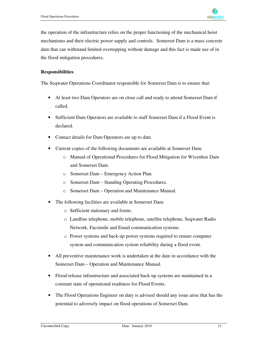

the operation of the infrastructure relies on the proper functioning of the mechanical hoist mechanisms and their electric power supply and controls. Somerset Dam is a mass concrete dam that can withstand limited overtopping without damage and this fact is made use of in the flood mitigation procedures.

#### **Responsibilities**

The Seqwater Operations Coordinator responsible for Somerset Dam is to ensure that:

- At least two Dam Operators are on close call and ready to attend Somerset Dam if called.
- Sufficient Dam Operators are available to staff Somerset Dam if a Flood Event is declared.
- Contact details for Dam Operators are up to date.
- Current copies of the following documents are available at Somerset Dam:
	- o Manual of Operational Procedures for Flood Mitigation for Wivenhoe Dam and Somerset Dam.
	- o Somerset Dam Emergency Action Plan.
	- o Somerset Dam Standing Operating Procedures.
	- o Somerset Dam Operation and Maintenance Manual.
- The following facilities are available at Somerset Dam:
	- o Sufficient stationary and forms.
	- o Landline telephone, mobile telephone, satellite telephone, Seqwater Radio Network, Facsimile and Email communication systems.
	- o Power systems and back-up power systems required to ensure computer system and communication system reliability during a flood event.
- All preventive maintenance work is undertaken at the dam in accordance with the Somerset Dam – Operation and Maintenance Manual.
- Flood release infrastructure and associated back-up systems are maintained in a constant state of operational readiness for Flood Events.
- The Flood Operations Engineer on duty is advised should any issue arise that has the potential to adversely impact on flood operations of Somerset Dam.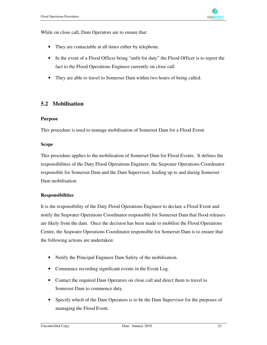While on close call, Dam Operators are to ensure that:

- They are contactable at all times either by telephone.
- In the event of a Flood Officer being "unfit for duty" the Flood Officer is to report the fact to the Flood Operations Engineer currently on close call.
- They are able to travel to Somerset Dam within two hours of being called.

## **5.2 Mobilisation**

#### **Purpose**

This procedure is used to manage mobilisation of Somerset Dam for a Flood Event.

#### **Scope**

This procedure applies to the mobilisation of Somerset Dam for Flood Events. It defines the responsibilities of the Duty Flood Operations Engineer, the Seqwater Operations Coordinator responsible for Somerset Dam and the Dam Supervisor, leading up to and during Somerset Dam mobilisation.

#### **Responsibilities**

It is the responsibility of the Duty Flood Operations Engineer to declare a Flood Event and notify the Seqwater Operations Coordinator responsible for Somerset Dam that flood releases are likely from the dam. Once the decision has been made to mobilise the Flood Operations Centre, the Seqwater Operations Coordinator responsible for Somerset Dam is to ensure that the following actions are undertaken:

- Notify the Principal Engineer Dam Safety of the mobilisation.
- Commence recording significant events in the Event Log.
- Contact the required Dam Operators on close call and direct them to travel to Somerset Dam to commence duty.
- Specify which of the Dam Operators is to be the Dam Supervisor for the purposes of managing the Flood Event.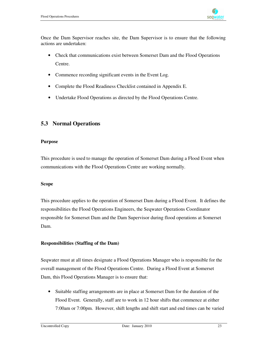

Once the Dam Supervisor reaches site, the Dam Supervisor is to ensure that the following actions are undertaken:

- Check that communications exist between Somerset Dam and the Flood Operations Centre.
- Commence recording significant events in the Event Log.
- Complete the Flood Readiness Checklist contained in Appendix E.
- Undertake Flood Operations as directed by the Flood Operations Centre.

## **5.3 Normal Operations**

#### **Purpose**

This procedure is used to manage the operation of Somerset Dam during a Flood Event when communications with the Flood Operations Centre are working normally.

#### **Scope**

This procedure applies to the operation of Somerset Dam during a Flood Event. It defines the responsibilities the Flood Operations Engineers, the Seqwater Operations Coordinator responsible for Somerset Dam and the Dam Supervisor during flood operations at Somerset Dam.

#### **Responsibilities (Staffing of the Dam)**

Seqwater must at all times designate a Flood Operations Manager who is responsible for the overall management of the Flood Operations Centre. During a Flood Event at Somerset Dam, this Flood Operations Manager is to ensure that:

• Suitable staffing arrangements are in place at Somerset Dam for the duration of the Flood Event. Generally, staff are to work in 12 hour shifts that commence at either 7:00am or 7:00pm. However, shift lengths and shift start and end times can be varied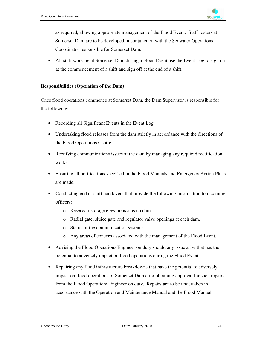as required, allowing appropriate management of the Flood Event. Staff rosters at Somerset Dam are to be developed in conjunction with the Seqwater Operations Coordinator responsible for Somerset Dam.

• All staff working at Somerset Dam during a Flood Event use the Event Log to sign on at the commencement of a shift and sign off at the end of a shift.

#### **Responsibilities (Operation of the Dam)**

Once flood operations commence at Somerset Dam, the Dam Supervisor is responsible for the following:

- Recording all Significant Events in the Event Log.
- Undertaking flood releases from the dam strictly in accordance with the directions of the Flood Operations Centre.
- Rectifying communications issues at the dam by managing any required rectification works.
- Ensuring all notifications specified in the Flood Manuals and Emergency Action Plans are made.
- Conducting end of shift handovers that provide the following information to incoming officers:
	- o Reservoir storage elevations at each dam.
	- o Radial gate, sluice gate and regulator valve openings at each dam.
	- o Status of the communication systems.
	- o Any areas of concern associated with the management of the Flood Event.
- Advising the Flood Operations Engineer on duty should any issue arise that has the potential to adversely impact on flood operations during the Flood Event.
- Repairing any flood infrastructure breakdowns that have the potential to adversely impact on flood operations of Somerset Dam after obtaining approval for such repairs from the Flood Operations Engineer on duty. Repairs are to be undertaken in accordance with the Operation and Maintenance Manual and the Flood Manuals.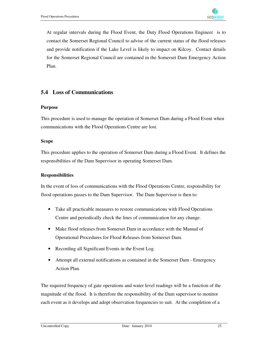

At regular intervals during the Flood Event, the Duty Flood Operations Engineer is to contact the Somerset Regional Council to advise of the current status of the flood releases and provide notification if the Lake Level is likely to impact on Kilcoy. Contact details for the Somerset Regional Council are contained in the Somerset Dam Emergency Action Plan.

### **5.4 Loss of Communications**

#### **Purpose**

This procedure is used to manage the operation of Somerset Dam during a Flood Event when communications with the Flood Operations Centre are lost.

#### **Scope**

This procedure applies to the operation of Somerset Dam during a Flood Event. It defines the responsibilities of the Dam Supervisor in operating Somerset Dam.

#### **Responsibilities**

In the event of loss of communications with the Flood Operations Centre, responsibility for flood operations passes to the Dam Supervisor. The Dam Supervisor is then to:

- Take all practicable measures to restore communications with Flood Operations Centre and periodically check the lines of communication for any change.
- Make flood releases from Somerset Dam in accordance with the Manual of Operational Procedures for Flood Releases from Somerset Dam.
- Recording all Significant Events in the Event Log.
- Attempt all external notifications as contained in the Somerset Dam Emergency Action Plan.

The required frequency of gate operations and water level readings will be a function of the magnitude of the flood. It is therefore the responsibility of the Dam supervisor to monitor each event as it develops and adopt observation frequencies to suit. At the completion of a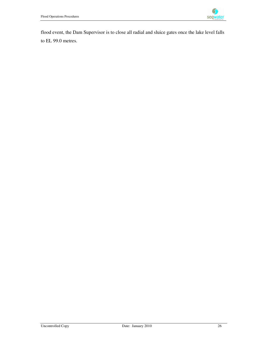

flood event, the Dam Supervisor is to close all radial and sluice gates once the lake level falls to EL 99.0 metres.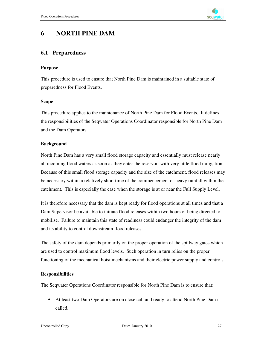

## **6 NORTH PINE DAM**

#### **6.1 Preparedness**

#### **Purpose**

This procedure is used to ensure that North Pine Dam is maintained in a suitable state of preparedness for Flood Events.

#### **Scope**

This procedure applies to the maintenance of North Pine Dam for Flood Events. It defines the responsibilities of the Seqwater Operations Coordinator responsible for North Pine Dam and the Dam Operators.

#### **Background**

North Pine Dam has a very small flood storage capacity and essentially must release nearly all incoming flood waters as soon as they enter the reservoir with very little flood mitigation. Because of this small flood storage capacity and the size of the catchment, flood releases may be necessary within a relatively short time of the commencement of heavy rainfall within the catchment. This is especially the case when the storage is at or near the Full Supply Level.

It is therefore necessary that the dam is kept ready for flood operations at all times and that a Dam Supervisor be available to initiate flood releases within two hours of being directed to mobilise. Failure to maintain this state of readiness could endanger the integrity of the dam and its ability to control downstream flood releases.

The safety of the dam depends primarily on the proper operation of the spillway gates which are used to control maximum flood levels. Such operation in turn relies on the proper functioning of the mechanical hoist mechanisms and their electric power supply and controls.

#### **Responsibilities**

The Seqwater Operations Coordinator responsible for North Pine Dam is to ensure that:

• At least two Dam Operators are on close call and ready to attend North Pine Dam if called.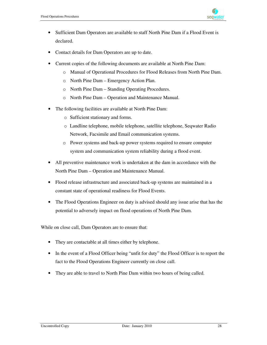

- Sufficient Dam Operators are available to staff North Pine Dam if a Flood Event is declared.
- Contact details for Dam Operators are up to date.
- Current copies of the following documents are available at North Pine Dam:
	- o Manual of Operational Procedures for Flood Releases from North Pine Dam.
	- o North Pine Dam Emergency Action Plan.
	- o North Pine Dam Standing Operating Procedures.
	- o North Pine Dam Operation and Maintenance Manual.
- The following facilities are available at North Pine Dam:
	- o Sufficient stationary and forms.
	- o Landline telephone, mobile telephone, satellite telephone, Seqwater Radio Network, Facsimile and Email communication systems.
	- o Power systems and back-up power systems required to ensure computer system and communication system reliability during a flood event.
- All preventive maintenance work is undertaken at the dam in accordance with the North Pine Dam – Operation and Maintenance Manual.
- Flood release infrastructure and associated back-up systems are maintained in a constant state of operational readiness for Flood Events.
- The Flood Operations Engineer on duty is advised should any issue arise that has the potential to adversely impact on flood operations of North Pine Dam.

While on close call, Dam Operators are to ensure that:

- They are contactable at all times either by telephone.
- In the event of a Flood Officer being "unfit for duty" the Flood Officer is to report the fact to the Flood Operations Engineer currently on close call.
- They are able to travel to North Pine Dam within two hours of being called.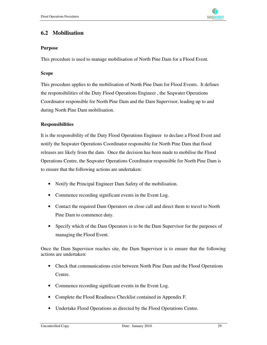

## **6.2 Mobilisation**

#### **Purpose**

This procedure is used to manage mobilisation of North Pine Dam for a Flood Event.

#### **Scope**

This procedure applies to the mobilisation of North Pine Dam for Flood Events. It defines the responsibilities of the Duty Flood Operations Engineer , the Seqwater Operations Coordinator responsible for North Pine Dam and the Dam Supervisor, leading up to and during North Pine Dam mobilisation.

#### **Responsibilities**

It is the responsibility of the Duty Flood Operations Engineer to declare a Flood Event and notify the Seqwater Operations Coordinator responsible for North Pine Dam that flood releases are likely from the dam. Once the decision has been made to mobilise the Flood Operations Centre, the Seqwater Operations Coordinator responsible for North Pine Dam is to ensure that the following actions are undertaken:

- Notify the Principal Engineer Dam Safety of the mobilisation.
- Commence recording significant events in the Event Log.
- Contact the required Dam Operators on close call and direct them to travel to North Pine Dam to commence duty.
- Specify which of the Dam Operators is to be the Dam Supervisor for the purposes of managing the Flood Event.

Once the Dam Supervisor reaches site, the Dam Supervisor is to ensure that the following actions are undertaken:

- Check that communications exist between North Pine Dam and the Flood Operations Centre.
- Commence recording significant events in the Event Log.
- Complete the Flood Readiness Checklist contained in Appendix F.
- Undertake Flood Operations as directed by the Flood Operations Centre.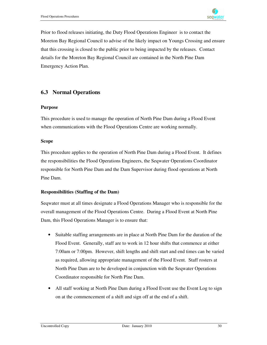

Prior to flood releases initiating, the Duty Flood Operations Engineer is to contact the Moreton Bay Regional Council to advise of the likely impact on Youngs Crossing and ensure that this crossing is closed to the public prior to being impacted by the releases. Contact details for the Moreton Bay Regional Council are contained in the North Pine Dam Emergency Action Plan.

## **6.3 Normal Operations**

#### **Purpose**

This procedure is used to manage the operation of North Pine Dam during a Flood Event when communications with the Flood Operations Centre are working normally.

#### **Scope**

This procedure applies to the operation of North Pine Dam during a Flood Event. It defines the responsibilities the Flood Operations Engineers, the Seqwater Operations Coordinator responsible for North Pine Dam and the Dam Supervisor during flood operations at North Pine Dam.

#### **Responsibilities (Staffing of the Dam)**

Seqwater must at all times designate a Flood Operations Manager who is responsible for the overall management of the Flood Operations Centre. During a Flood Event at North Pine Dam, this Flood Operations Manager is to ensure that:

- Suitable staffing arrangements are in place at North Pine Dam for the duration of the Flood Event. Generally, staff are to work in 12 hour shifts that commence at either 7:00am or 7:00pm. However, shift lengths and shift start and end times can be varied as required, allowing appropriate management of the Flood Event. Staff rosters at North Pine Dam are to be developed in conjunction with the Seqwater Operations Coordinator responsible for North Pine Dam.
- All staff working at North Pine Dam during a Flood Event use the Event Log to sign on at the commencement of a shift and sign off at the end of a shift.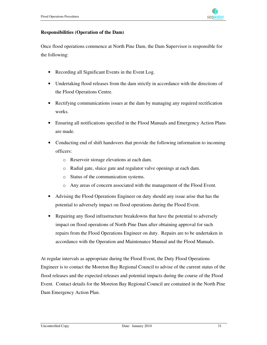#### **Responsibilities (Operation of the Dam)**

Once flood operations commence at North Pine Dam, the Dam Supervisor is responsible for the following:

- Recording all Significant Events in the Event Log.
- Undertaking flood releases from the dam strictly in accordance with the directions of the Flood Operations Centre.
- Rectifying communications issues at the dam by managing any required rectification works.
- Ensuring all notifications specified in the Flood Manuals and Emergency Action Plans are made.
- Conducting end of shift handovers that provide the following information to incoming officers:
	- o Reservoir storage elevations at each dam.
	- o Radial gate, sluice gate and regulator valve openings at each dam.
	- o Status of the communication systems.
	- o Any areas of concern associated with the management of the Flood Event.
- Advising the Flood Operations Engineer on duty should any issue arise that has the potential to adversely impact on flood operations during the Flood Event.
- Repairing any flood infrastructure breakdowns that have the potential to adversely impact on flood operations of North Pine Dam after obtaining approval for such repairs from the Flood Operations Engineer on duty. Repairs are to be undertaken in accordance with the Operation and Maintenance Manual and the Flood Manuals.

At regular intervals as appropriate during the Flood Event, the Duty Flood Operations Engineer is to contact the Moreton Bay Regional Council to advise of the current status of the flood releases and the expected releases and potential impacts during the course of the Flood Event. Contact details for the Moreton Bay Regional Council are contained in the North Pine Dam Emergency Action Plan.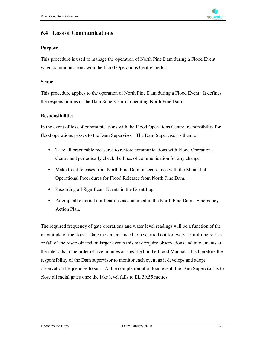

### **6.4 Loss of Communications**

#### **Purpose**

This procedure is used to manage the operation of North Pine Dam during a Flood Event when communications with the Flood Operations Centre are lost.

#### **Scope**

This procedure applies to the operation of North Pine Dam during a Flood Event. It defines the responsibilities of the Dam Supervisor in operating North Pine Dam.

#### **Responsibilities**

In the event of loss of communications with the Flood Operations Centre, responsibility for flood operations passes to the Dam Supervisor. The Dam Supervisor is then to:

- Take all practicable measures to restore communications with Flood Operations Centre and periodically check the lines of communication for any change.
- Make flood releases from North Pine Dam in accordance with the Manual of Operational Procedures for Flood Releases from North Pine Dam.
- Recording all Significant Events in the Event Log.
- Attempt all external notifications as contained in the North Pine Dam Emergency Action Plan.

The required frequency of gate operations and water level readings will be a function of the magnitude of the flood. Gate movements need to be carried out for every 15 millimetre rise or fall of the reservoir and on larger events this may require observations and movements at the intervals in the order of five minutes as specified in the Flood Manual. It is therefore the responsibility of the Dam supervisor to monitor each event as it develops and adopt observation frequencies to suit. At the completion of a flood event, the Dam Supervisor is to close all radial gates once the lake level falls to EL 39.55 metres.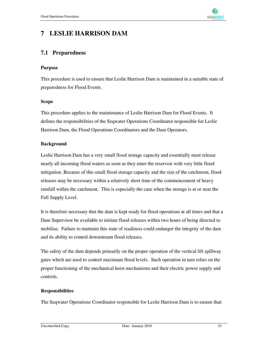

## **7 LESLIE HARRISON DAM**

## **7.1 Preparedness**

#### **Purpose**

This procedure is used to ensure that Leslie Harrison Dam is maintained in a suitable state of preparedness for Flood Events.

#### **Scope**

This procedure applies to the maintenance of Leslie Harrison Dam for Flood Events. It defines the responsibilities of the Seqwater Operations Coordinator responsible for Leslie Harrison Dam, the Flood Operations Coordinators and the Dam Operators.

#### **Background**

Leslie Harrison Dam has a very small flood storage capacity and essentially must release nearly all incoming flood waters as soon as they enter the reservoir with very little flood mitigation. Because of this small flood storage capacity and the size of the catchment, flood releases may be necessary within a relatively short time of the commencement of heavy rainfall within the catchment. This is especially the case when the storage is at or near the Full Supply Level.

It is therefore necessary that the dam is kept ready for flood operations at all times and that a Dam Supervisor be available to initiate flood releases within two hours of being directed to mobilise. Failure to maintain this state of readiness could endanger the integrity of the dam and its ability to control downstream flood releases.

The safety of the dam depends primarily on the proper operation of the vertical lift spillway gates which are used to control maximum flood levels. Such operation in turn relies on the proper functioning of the mechanical hoist mechanisms and their electric power supply and controls.

#### **Responsibilities**

The Seqwater Operations Coordinator responsible for Leslie Harrison Dam is to ensure that: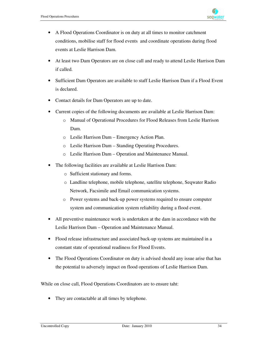- A Flood Operations Coordinator is on duty at all times to monitor catchment conditions, mobilise staff for flood events and coordinate operations during flood events at Leslie Harrison Dam.
- At least two Dam Operators are on close call and ready to attend Leslie Harrison Dam if called.
- Sufficient Dam Operators are available to staff Leslie Harrison Dam if a Flood Event is declared.
- Contact details for Dam Operators are up to date.
- Current copies of the following documents are available at Leslie Harrison Dam:
	- o Manual of Operational Procedures for Flood Releases from Leslie Harrison Dam.
	- o Leslie Harrison Dam Emergency Action Plan.
	- o Leslie Harrison Dam Standing Operating Procedures.
	- o Leslie Harrison Dam Operation and Maintenance Manual.
- The following facilities are available at Leslie Harrison Dam:
	- o Sufficient stationary and forms.
	- o Landline telephone, mobile telephone, satellite telephone, Seqwater Radio Network, Facsimile and Email communication systems.
	- o Power systems and back-up power systems required to ensure computer system and communication system reliability during a flood event.
- All preventive maintenance work is undertaken at the dam in accordance with the Leslie Harrison Dam – Operation and Maintenance Manual.
- Flood release infrastructure and associated back-up systems are maintained in a constant state of operational readiness for Flood Events.
- The Flood Operations Coordinator on duty is advised should any issue arise that has the potential to adversely impact on flood operations of Leslie Harrison Dam.

While on close call, Flood Operations Coordinators are to ensure taht:

• They are contactable at all times by telephone.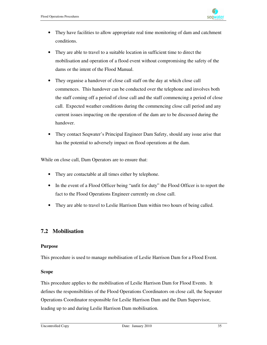- They have facilities to allow appropriate real time monitoring of dam and catchment conditions.
- They are able to travel to a suitable location in sufficient time to direct the mobilisation and operation of a flood event without compromising the safety of the dams or the intent of the Flood Manual.
- They organise a handover of close call staff on the day at which close call commences. This handover can be conducted over the telephone and involves both the staff coming off a period of close call and the staff commencing a period of close call. Expected weather conditions during the commencing close call period and any current issues impacting on the operation of the dam are to be discussed during the handover.
- They contact Seqwater's Principal Engineer Dam Safety, should any issue arise that has the potential to adversely impact on flood operations at the dam.

While on close call, Dam Operators are to ensure that:

- They are contactable at all times either by telephone.
- In the event of a Flood Officer being "unfit for duty" the Flood Officer is to report the fact to the Flood Operations Engineer currently on close call.
- They are able to travel to Leslie Harrison Dam within two hours of being called.

## **7.2 Mobilisation**

#### **Purpose**

This procedure is used to manage mobilisation of Leslie Harrison Dam for a Flood Event.

#### **Scope**

This procedure applies to the mobilisation of Leslie Harrison Dam for Flood Events. It defines the responsibilities of the Flood Operations Coordinators on close call, the Seqwater Operations Coordinator responsible for Leslie Harrison Dam and the Dam Supervisor, leading up to and during Leslie Harrison Dam mobilisation.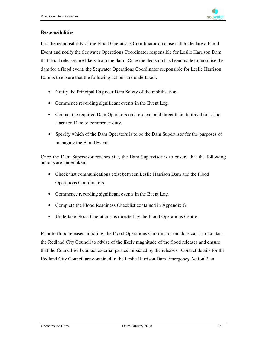

#### **Responsibilities**

It is the responsibility of the Flood Operations Coordinator on close call to declare a Flood Event and notify the Seqwater Operations Coordinator responsible for Leslie Harrison Dam that flood releases are likely from the dam. Once the decision has been made to mobilise the dam for a flood event, the Seqwater Operations Coordinator responsible for Leslie Harrison Dam is to ensure that the following actions are undertaken:

- Notify the Principal Engineer Dam Safety of the mobilisation.
- Commence recording significant events in the Event Log.
- Contact the required Dam Operators on close call and direct them to travel to Leslie Harrison Dam to commence duty.
- Specify which of the Dam Operators is to be the Dam Supervisor for the purposes of managing the Flood Event.

Once the Dam Supervisor reaches site, the Dam Supervisor is to ensure that the following actions are undertaken:

- Check that communications exist between Leslie Harrison Dam and the Flood Operations Coordinators.
- Commence recording significant events in the Event Log.
- Complete the Flood Readiness Checklist contained in Appendix G.
- Undertake Flood Operations as directed by the Flood Operations Centre.

Prior to flood releases initiating, the Flood Operations Coordinator on close call is to contact the Redland City Council to advise of the likely magnitude of the flood releases and ensure that the Council will contact external parties impacted by the releases. Contact details for the Redland City Council are contained in the Leslie Harrison Dam Emergency Action Plan.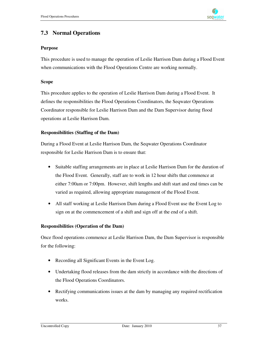

## **7.3 Normal Operations**

#### **Purpose**

This procedure is used to manage the operation of Leslie Harrison Dam during a Flood Event when communications with the Flood Operations Centre are working normally.

#### **Scope**

This procedure applies to the operation of Leslie Harrison Dam during a Flood Event. It defines the responsibilities the Flood Operations Coordinators, the Seqwater Operations Coordinator responsible for Leslie Harrison Dam and the Dam Supervisor during flood operations at Leslie Harrison Dam.

#### **Responsibilities (Staffing of the Dam)**

During a Flood Event at Leslie Harrison Dam, the Seqwater Operations Coordinator responsible for Leslie Harrison Dam is to ensure that:

- Suitable staffing arrangements are in place at Leslie Harrison Dam for the duration of the Flood Event. Generally, staff are to work in 12 hour shifts that commence at either 7:00am or 7:00pm. However, shift lengths and shift start and end times can be varied as required, allowing appropriate management of the Flood Event.
- All staff working at Leslie Harrison Dam during a Flood Event use the Event Log to sign on at the commencement of a shift and sign off at the end of a shift.

#### **Responsibilities (Operation of the Dam)**

Once flood operations commence at Leslie Harrison Dam, the Dam Supervisor is responsible for the following:

- Recording all Significant Events in the Event Log.
- Undertaking flood releases from the dam strictly in accordance with the directions of the Flood Operations Coordinators.
- Rectifying communications issues at the dam by managing any required rectification works.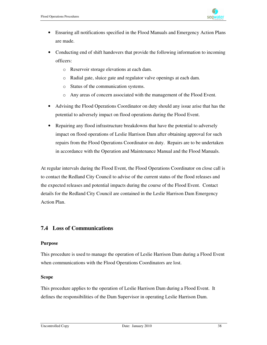

- Ensuring all notifications specified in the Flood Manuals and Emergency Action Plans are made.
- Conducting end of shift handovers that provide the following information to incoming officers:
	- o Reservoir storage elevations at each dam.
	- o Radial gate, sluice gate and regulator valve openings at each dam.
	- o Status of the communication systems.
	- o Any areas of concern associated with the management of the Flood Event.
- Advising the Flood Operations Coordinator on duty should any issue arise that has the potential to adversely impact on flood operations during the Flood Event.
- Repairing any flood infrastructure breakdowns that have the potential to adversely impact on flood operations of Leslie Harrison Dam after obtaining approval for such repairs from the Flood Operations Coordinator on duty. Repairs are to be undertaken in accordance with the Operation and Maintenance Manual and the Flood Manuals.

At regular intervals during the Flood Event, the Flood Operations Coordinator on close call is to contact the Redland City Council to advise of the current status of the flood releases and the expected releases and potential impacts during the course of the Flood Event. Contact details for the Redland City Council are contained in the Leslie Harrison Dam Emergency Action Plan.

## **7.4 Loss of Communications**

#### **Purpose**

This procedure is used to manage the operation of Leslie Harrison Dam during a Flood Event when communications with the Flood Operations Coordinators are lost.

#### **Scope**

This procedure applies to the operation of Leslie Harrison Dam during a Flood Event. It defines the responsibilities of the Dam Supervisor in operating Leslie Harrison Dam.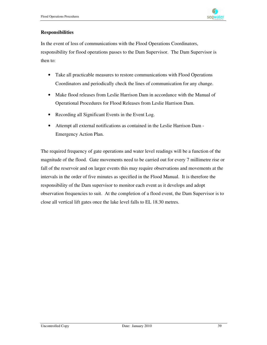

#### **Responsibilities**

In the event of loss of communications with the Flood Operations Coordinators, responsibility for flood operations passes to the Dam Supervisor. The Dam Supervisor is then to:

- Take all practicable measures to restore communications with Flood Operations Coordinators and periodically check the lines of communication for any change.
- Make flood releases from Leslie Harrison Dam in accordance with the Manual of Operational Procedures for Flood Releases from Leslie Harrison Dam.
- Recording all Significant Events in the Event Log.
- Attempt all external notifications as contained in the Leslie Harrison Dam Emergency Action Plan.

The required frequency of gate operations and water level readings will be a function of the magnitude of the flood. Gate movements need to be carried out for every 7 millimetre rise or fall of the reservoir and on larger events this may require observations and movements at the intervals in the order of five minutes as specified in the Flood Manual. It is therefore the responsibility of the Dam supervisor to monitor each event as it develops and adopt observation frequencies to suit. At the completion of a flood event, the Dam Supervisor is to close all vertical lift gates once the lake level falls to EL 18.30 metres.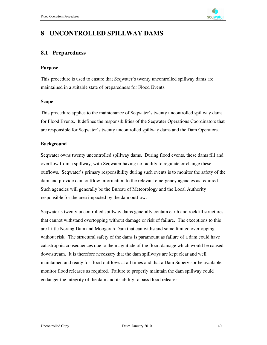## **8 UNCONTROLLED SPILLWAY DAMS**

## **8.1 Preparedness**

#### **Purpose**

This procedure is used to ensure that Seqwater's twenty uncontrolled spillway dams are maintained in a suitable state of preparedness for Flood Events.

#### **Scope**

This procedure applies to the maintenance of Seqwater's twenty uncontrolled spillway dams for Flood Events. It defines the responsibilities of the Seqwater Operations Coordinators that are responsible for Seqwater's twenty uncontrolled spillway dams and the Dam Operators.

#### **Background**

Seqwater owns twenty uncontrolled spillway dams. During flood events, these dams fill and overflow from a spillway, with Seqwater having no facility to regulate or change these outflows. Seqwater's primary responsibility during such events is to monitor the safety of the dam and provide dam outflow information to the relevant emergency agencies as required. Such agencies will generally be the Bureau of Meteorology and the Local Authority responsible for the area impacted by the dam outflow.

Seqwater's twenty uncontrolled spillway dams generally contain earth and rockfill structures that cannot withstand overtopping without damage or risk of failure. The exceptions to this are Little Nerang Dam and Moogerah Dam that can withstand some limited overtopping without risk. The structural safety of the dams is paramount as failure of a dam could have catastrophic consequences due to the magnitude of the flood damage which would be caused downstream. It is therefore necessary that the dam spillways are kept clear and well maintained and ready for flood outflows at all times and that a Dam Supervisor be available monitor flood releases as required. Failure to properly maintain the dam spillway could endanger the integrity of the dam and its ability to pass flood releases.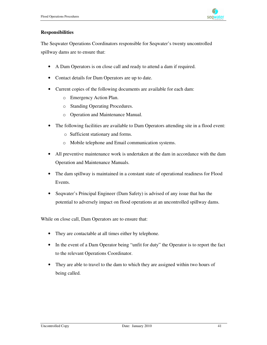

#### **Responsibilities**

The Seqwater Operations Coordinators responsible for Seqwater's twenty uncontrolled spillway dams are to ensure that:

- A Dam Operators is on close call and ready to attend a dam if required.
- Contact details for Dam Operators are up to date.
- Current copies of the following documents are available for each dam:
	- o Emergency Action Plan.
	- o Standing Operating Procedures.
	- o Operation and Maintenance Manual.
- The following facilities are available to Dam Operators attending site in a flood event:
	- o Sufficient stationary and forms.
	- o Mobile telephone and Email communication systems.
- All preventive maintenance work is undertaken at the dam in accordance with the dam Operation and Maintenance Manuals.
- The dam spillway is maintained in a constant state of operational readiness for Flood Events.
- Seqwater's Principal Engineer (Dam Safety) is advised of any issue that has the potential to adversely impact on flood operations at an uncontrolled spillway dams.

While on close call, Dam Operators are to ensure that:

- They are contactable at all times either by telephone.
- In the event of a Dam Operator being "unfit for duty" the Operator is to report the fact to the relevant Operations Coordinator.
- They are able to travel to the dam to which they are assigned within two hours of being called.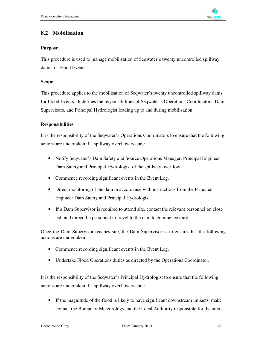

## **8.2 Mobilisation**

#### **Purpose**

This procedure is used to manage mobilisation of Seqwater's twenty uncontrolled spillway dams for Flood Events.

#### **Scope**

This procedure applies to the mobilisation of Seqwater's twenty uncontrolled spillway dams for Flood Events. It defines the responsibilities of Seqwater's Operations Coordinators, Dam Supervisors, and Principal Hydrologist leading up to and during mobilisation.

#### **Responsibilities**

It is the responsibility of the Seqwater's Operations Coordinators to ensure that the following actions are undertaken if a spillway overflow occurs:

- Notify Seqwater's Dam Safety and Source Operations Manager, Principal Engineer Dam Safety and Principal Hydrologist of the spillway overflow.
- Commence recording significant events in the Event Log.
- Direct monitoring of the dam in accordance with instructions from the Principal Engineer Dam Safety and Principal Hydrologist.
- If a Dam Supervisor is required to attend site, contact the relevant personnel on close call and direct the personnel to travel to the dam to commence duty.

Once the Dam Supervisor reaches site, the Dam Supervisor is to ensure that the following actions are undertaken:

- Commence recording significant events in the Event Log.
- Undertake Flood Operations duties as directed by the Operations Coordinator.

It is the responsibility of the Seqwater's Principal Hydrologist to ensure that the following actions are undertaken if a spillway overflow occurs:

• If the magnitude of the flood is likely to have significant downstream impacts, make contact the Bureau of Meteorology and the Local Authority responsible for the area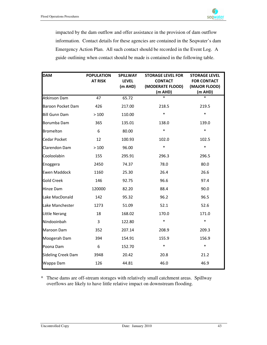

impacted by the dam outflow and offer assistance in the provision of dam outflow information. Contact details for these agencies are contained in the Seqwater's dam Emergency Action Plan. All such contact should be recorded in the Event Log. A guide outlining when contact should be made is contained in the following table.

| <b>DAM</b>                | <b>POPULATION</b> | <b>SPILLWAY</b> | <b>STORAGE LEVEL FOR</b> | <b>STORAGE LEVEL</b> |
|---------------------------|-------------------|-----------------|--------------------------|----------------------|
|                           | <b>AT RISK</b>    | <b>LEVEL</b>    | <b>CONTACT</b>           | <b>FOR CONTACT</b>   |
|                           |                   | (m AHD)         | (MODERATE FLOOD)         | (MAJOR FLOOD)        |
|                           |                   |                 | (m AHD)                  | (m AHD)              |
| Atkinson Dam              | 47                | 65.72           | $\ast$                   | $\ast$               |
| <b>Baroon Pocket Dam</b>  | 426               | 217.00          | 218.5                    | 219.5                |
| <b>Bill Gunn Dam</b>      | >100              | 110.00          | $\ast$                   | $\ast$               |
| Borumba Dam               | 365               | 135.01          | 138.0                    | 139.0                |
| <b>Bromelton</b>          | 6                 | 80.00           | $\ast$                   | $\ast$               |
| <b>Cedar Pocket</b>       | 12                | 100.93          | 102.0                    | 102.5                |
| Clarendon Dam             | >100              | 96.00           | $\ast$                   | $\ast$               |
| Cooloolabin               | 155               | 295.91          | 296.3                    | 296.5                |
| Enoggera                  | 2450              | 74.37           | 78.0                     | 80.0                 |
| <b>Ewen Maddock</b>       | 1160              | 25.30           | 26.4                     | 26.6                 |
| <b>Gold Creek</b>         | 146               | 92.75           | 96.6                     | 97.4                 |
| <b>Hinze Dam</b>          | 120000            | 82.20           | 88.4                     | 90.0                 |
| Lake MacDonald            | 142               | 95.32           | 96.2                     | 96.5                 |
| Lake Manchester           | 1273              | 51.09           | 52.1                     | 52.6                 |
| Little Nerang             | 18                | 168.02          | 170.0                    | 171.0                |
| Nindooinbah               | 3                 | 122.80          | $\ast$                   | $\ast$               |
| Maroon Dam                | 352               | 207.14          | 208.9                    | 209.3                |
| Moogerah Dam              | 394               | 154.91          | 155.9                    | 156.9                |
| Poona Dam                 | 6                 | 152.70          | $\ast$                   | $\ast$               |
| <b>Sideling Creek Dam</b> | 3948              | 20.42           | 20.8                     | 21.2                 |
| Wappa Dam                 | 126               | 44.81           | 46.0                     | 46.9                 |

\* These dams are off-stream storages with relatively small catchment areas. Spillway overflows are likely to have little relative impact on downstream flooding.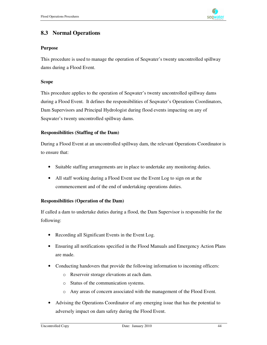

## **8.3 Normal Operations**

#### **Purpose**

This procedure is used to manage the operation of Seqwater's twenty uncontrolled spillway dams during a Flood Event.

#### **Scope**

This procedure applies to the operation of Seqwater's twenty uncontrolled spillway dams during a Flood Event. It defines the responsibilities of Seqwater's Operations Coordinators, Dam Supervisors and Principal Hydrologist during flood events impacting on any of Seqwater's twenty uncontrolled spillway dams.

#### **Responsibilities (Staffing of the Dam)**

During a Flood Event at an uncontrolled spillway dam, the relevant Operations Coordinator is to ensure that:

- Suitable staffing arrangements are in place to undertake any monitoring duties.
- All staff working during a Flood Event use the Event Log to sign on at the commencement and of the end of undertaking operations duties.

#### **Responsibilities (Operation of the Dam)**

If called a dam to undertake duties during a flood, the Dam Supervisor is responsible for the following:

- Recording all Significant Events in the Event Log.
- Ensuring all notifications specified in the Flood Manuals and Emergency Action Plans are made.
- Conducting handovers that provide the following information to incoming officers:
	- o Reservoir storage elevations at each dam.
	- o Status of the communication systems.
	- o Any areas of concern associated with the management of the Flood Event.
- Advising the Operations Coordinator of any emerging issue that has the potential to adversely impact on dam safety during the Flood Event.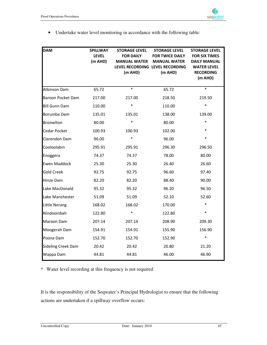#### • Undertake water level monitoring in accordance with the following table:

| <b>DAM</b>           | <b>SPILLWAY</b><br><b>LEVEL</b><br>(m AHD) | <b>STORAGE LEVEL</b><br><b>FOR DAILY</b><br><b>MANUAL WATER</b><br>(m AHD) | <b>STORAGE LEVEL</b><br><b>FOR TWICE DAILY</b><br><b>MANUAL WATER</b><br>LEVEL RECORDING LEVEL RECORDING<br>(m AHD) | <b>STORAGE LEVEL</b><br><b>FOR SIX TIMES</b><br>DAILY MANUAL<br><b>WATER LEVEL</b><br><b>RECORDING</b><br>(m AHD) |
|----------------------|--------------------------------------------|----------------------------------------------------------------------------|---------------------------------------------------------------------------------------------------------------------|-------------------------------------------------------------------------------------------------------------------|
| Atkinson Dam         | 65.72                                      | $\ast$                                                                     | 65.72                                                                                                               | $\ast$                                                                                                            |
| Baroon Pocket Dam    | 217.00                                     | 217.00                                                                     | 218.50                                                                                                              | 219.50                                                                                                            |
| <b>Bill Gunn Dam</b> | 110.00                                     | *                                                                          | 110.00                                                                                                              | $\ast$                                                                                                            |
| Borumba Dam          | 135.01                                     | 135.01                                                                     | 138.00                                                                                                              | 139.00                                                                                                            |
| <b>Bromelton</b>     | 80.00                                      | $\ast$                                                                     | 80.00                                                                                                               | $\ast$                                                                                                            |
| Cedar Pocket         | 100.93                                     | 100.93                                                                     | 102.00                                                                                                              | $\ast$                                                                                                            |
| Clarendon Dam        | 96.00                                      | $\ast$                                                                     | 96.00                                                                                                               | $\ast$                                                                                                            |
| Cooloolabin          | 295.91                                     | 295.91                                                                     | 296.30                                                                                                              | 296.50                                                                                                            |
| Enoggera             | 74.37                                      | 74.37                                                                      | 78.00                                                                                                               | 80.00                                                                                                             |
| <b>Ewen Maddock</b>  | 25.30                                      | 25.30                                                                      | 26.40                                                                                                               | 26.60                                                                                                             |
| <b>Gold Creek</b>    | 92.75                                      | 92.75                                                                      | 96.60                                                                                                               | 97.40                                                                                                             |
| <b>Hinze Dam</b>     | 82.20                                      | 82.20                                                                      | 88.40                                                                                                               | 90.00                                                                                                             |
| Lake MacDonald       | 95.32                                      | 95.32                                                                      | 96.20                                                                                                               | 96.50                                                                                                             |
| Lake Manchester      | 51.09                                      | 51.09                                                                      | 52.10                                                                                                               | 52.60                                                                                                             |
| Little Nerang        | 168.02                                     | 168.02                                                                     | 170.00                                                                                                              | $\ast$                                                                                                            |
| Nindooinbah          | 122.80                                     | *                                                                          | 122.80                                                                                                              | $\ast$                                                                                                            |
| Maroon Dam           | 207.14                                     | 207.14                                                                     | 208.90                                                                                                              | 209.30                                                                                                            |
| Moogerah Dam         | 154.91                                     | 154.91                                                                     | 155.90                                                                                                              | 156.90                                                                                                            |
| Poona Dam            | 152.70                                     | 152.70                                                                     | 152.90                                                                                                              | $\ast$                                                                                                            |
| Sideling Creek Dam   | 20.42                                      | 20.42                                                                      | 20.80                                                                                                               | 21.20                                                                                                             |
| Wappa Dam            | 44.81                                      | 44.81                                                                      | 46.00                                                                                                               | 46.90                                                                                                             |

\* Water level recording at this frequency is not required

It is the responsibility of the Seqwater's Principal Hydrologist to ensure that the following actions are undertaken if a spillway overflow occurs: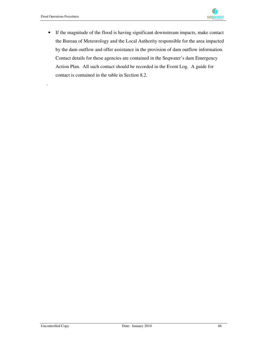.



• If the magnitude of the flood is having significant downstream impacts, make contact the Bureau of Meteorology and the Local Authority responsible for the area impacted by the dam outflow and offer assistance in the provision of dam outflow information. Contact details for these agencies are contained in the Seqwater's dam Emergency Action Plan. All such contact should be recorded in the Event Log. A guide for contact is contained in the table in Section 8.2.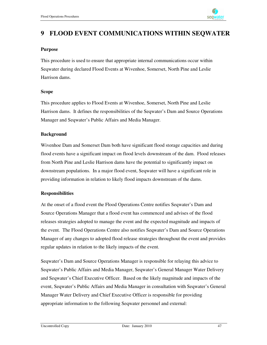## **9 FLOOD EVENT COMMUNICATIONS WITHIN SEQWATER**

#### **Purpose**

This procedure is used to ensure that appropriate internal communications occur within Seqwater during declared Flood Events at Wivenhoe, Somerset, North Pine and Leslie Harrison dams.

#### **Scope**

This procedure applies to Flood Events at Wivenhoe, Somerset, North Pine and Leslie Harrison dams. It defines the responsibilities of the Seqwater's Dam and Source Operations Manager and Seqwater's Public Affairs and Media Manager.

#### **Background**

Wivenhoe Dam and Somerset Dam both have significant flood storage capacities and during flood events have a significant impact on flood levels downstream of the dam. Flood releases from North Pine and Leslie Harrison dams have the potential to significantly impact on downstream populations. In a major flood event, Seqwater will have a significant role in providing information in relation to likely flood impacts downstream of the dams.

#### **Responsibilities**

At the onset of a flood event the Flood Operations Centre notifies Seqwater's Dam and Source Operations Manager that a flood event has commenced and advises of the flood releases strategies adopted to manage the event and the expected magnitude and impacts of the event. The Flood Operations Centre also notifies Seqwater's Dam and Source Operations Manager of any changes to adopted flood release strategies throughout the event and provides regular updates in relation to the likely impacts of the event.

Seqwater's Dam and Source Operations Manager is responsible for relaying this advice to Seqwater's Public Affairs and Media Manager, Seqwater's General Manager Water Delivery and Seqwater's Chief Executive Officer. Based on the likely magnitude and impacts of the event, Seqwater's Public Affairs and Media Manager in consultation with Seqwater's General Manager Water Delivery and Chief Executive Officer is responsible for providing appropriate information to the following Seqwater personnel and external: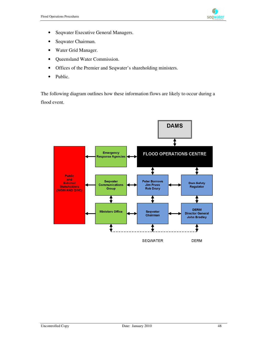

- Seqwater Executive General Managers.
- Seqwater Chairman.
- Water Grid Manager.
- Queensland Water Commission.
- Offices of the Premier and Seqwater's shareholding ministers.
- Public.

The following diagram outlines how these information flows are likely to occur during a flood event.

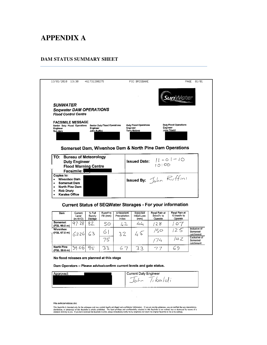# **APPENDIX A**

#### **DAM STATUS SUMMARY SHEET**

|                                                                       |                                                     |                                 |                                     |                             |                                 |                                                                   | SunWater                     |                                                                                |
|-----------------------------------------------------------------------|-----------------------------------------------------|---------------------------------|-------------------------------------|-----------------------------|---------------------------------|-------------------------------------------------------------------|------------------------------|--------------------------------------------------------------------------------|
| <i><b>SUNWATER</b></i>                                                |                                                     |                                 |                                     |                             |                                 |                                                                   |                              |                                                                                |
| <b>Segwater DAM OPERATIONS</b><br><b>Flood Control Centre</b>         |                                                     |                                 |                                     |                             |                                 |                                                                   |                              |                                                                                |
| <b>FACSIMILE MESSAGE</b><br>Senior Duty Flood Operations              |                                                     |                                 | <b>Senior Duty Flood Operations</b> |                             | <b>Duty Flood Operations</b>    | Engineer                                                          | <b>Duty Flood Operations</b> |                                                                                |
| Engineer<br>Rob Avre                                                  |                                                     | <b>Engineer</b><br>John Ruffini |                                     |                             | Engineer<br><b>Terry Malone</b> |                                                                   | John Tibaldi                 |                                                                                |
|                                                                       |                                                     |                                 |                                     |                             |                                 |                                                                   |                              |                                                                                |
|                                                                       |                                                     |                                 |                                     |                             |                                 |                                                                   |                              |                                                                                |
|                                                                       |                                                     |                                 |                                     |                             |                                 | Somerset Dam, Wivenhoe Dam & North Pine Dam Operations            |                              |                                                                                |
| TO:                                                                   | <b>Bureau of Meteorology</b>                        |                                 |                                     |                             |                                 |                                                                   | $ 1 - 0  - 10$               |                                                                                |
|                                                                       | <b>Duty Engineer</b><br><b>Flood Warning Centre</b> |                                 |                                     |                             | <b>Issued Date:</b>             | 10:00                                                             |                              |                                                                                |
|                                                                       | <b>Facsimile:</b>                                   |                                 |                                     |                             |                                 |                                                                   |                              |                                                                                |
| Copies to:<br>• Wivenhoe Dam                                          |                                                     |                                 |                                     |                             |                                 | Issued By: John Ruffini                                           |                              |                                                                                |
| <b>Somerset Dam</b>                                                   |                                                     |                                 |                                     |                             |                                 |                                                                   |                              |                                                                                |
|                                                                       |                                                     |                                 |                                     |                             |                                 |                                                                   |                              |                                                                                |
| North Pine Dam<br>$\bullet$                                           |                                                     |                                 |                                     |                             |                                 |                                                                   |                              |                                                                                |
| Rob Drury<br>$\bullet$<br><b>Karalee Office</b>                       |                                                     |                                 |                                     |                             |                                 |                                                                   |                              |                                                                                |
|                                                                       |                                                     |                                 |                                     |                             |                                 | <b>Current Status of SEQWater Storages - For your information</b> |                              |                                                                                |
| Dam                                                                   | Current<br>Level                                    | % Full<br>Supply                | Runoff to<br>Fill (mm)              | Antecedent<br>Precipitation | Expected<br>Initial Loss        | Regd Rain at<br>5mm/hr to                                         | Regd Rain at<br>10 mm/hr to  |                                                                                |
| <b>Somerset</b>                                                       | $(m$ AHD)                                           | Storage                         |                                     | Index                       | (mm)                            | Operate                                                           | Operate                      |                                                                                |
| (FSL 99.0 m)<br>Wivenhoe                                              | 97 28                                               | 82                              | SO                                  | 42                          | 44                              | 128                                                               | 07                           |                                                                                |
| (FSL 67.0 m)                                                          | 6226                                                | 63                              | 61                                  | 32                          | 45                              | /50                                                               | 12 S                         |                                                                                |
|                                                                       |                                                     |                                 | 75                                  |                             |                                 | /74                                                               | 142                          |                                                                                |
| <b>North Pine</b><br>(FSL 39.6 m)                                     | 39.06                                               | 95                              | 33                                  | 67                          | 33                              | 77                                                                | 69                           | Inclusive of<br>Somerset<br>catchment<br>Exclusive of<br>Somerset<br>catchment |
|                                                                       |                                                     |                                 |                                     |                             |                                 |                                                                   |                              |                                                                                |
| No flood releases are planned at this stage                           |                                                     |                                 |                                     |                             |                                 |                                                                   |                              |                                                                                |
| Dam Operators - Please advise/confirm current levels and gate status. |                                                     |                                 |                                     |                             |                                 |                                                                   |                              |                                                                                |
| Approved                                                              |                                                     |                                 |                                     |                             | <b>Current Duty Engineer</b>    |                                                                   |                              |                                                                                |
|                                                                       |                                                     |                                 |                                     |                             |                                 | Tohn Tibaldi                                                      |                              |                                                                                |
|                                                                       |                                                     |                                 |                                     |                             |                                 |                                                                   |                              |                                                                                |
|                                                                       |                                                     |                                 |                                     |                             |                                 |                                                                   |                              |                                                                                |
|                                                                       |                                                     |                                 |                                     |                             |                                 |                                                                   |                              |                                                                                |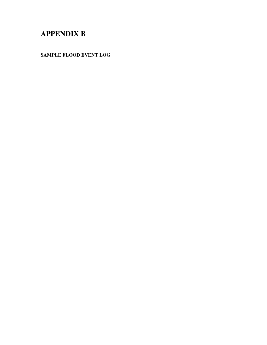# **APPENDIX B**

**SAMPLE FLOOD EVENT LOG**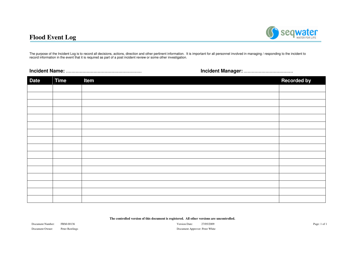## **Flood Event Log**



The purpose of the Incident Log is to record all decisions, actions, direction and other pertinent information. It is important for all personnel involved in managing / responding to the incident to record information in the event that it is required as part of <sup>a</sup> post incident review or some other investigation.

#### **Incident**

**Name:** ....................................................... **Incident Manager:**....................................

| <b>Date</b> | Time | Item | <b>Recorded by</b> |
|-------------|------|------|--------------------|
|             |      |      |                    |
|             |      |      |                    |
|             |      |      |                    |
|             |      |      |                    |
|             |      |      |                    |
|             |      |      |                    |
|             |      |      |                    |
|             |      |      |                    |
|             |      |      |                    |
|             |      |      |                    |
|             |      |      |                    |
|             |      |      |                    |
|             |      |      |                    |
|             |      |      |                    |
|             |      |      |                    |
|             |      |      |                    |

**The controlled version of this document is registered. All other versions are uncontrolled.**

Document Number: FRM-00136 Document Owner: Peter

 Version Date: 27/05/2009 Page: 1 of 1 Peter Rawlings **Document Approver: Peter White** Document Approver: Peter White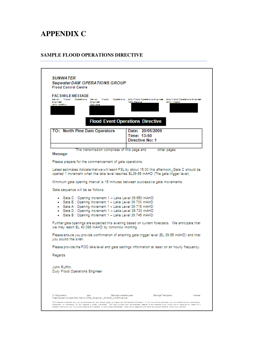# **APPENDIX C**

#### **SAMPLE FLOOD OPERATIONS DIRECTIVE**

| <b>FAC SIMILE MESSAGE</b><br>Senior Flood Openhone Senior<br>1 lood<br>Engineer<br>Engineer<br>John Ruffhns<br><b>Rob Ayne</b>                                              | Openhony Duty Hood Openhony Engineer<br>Duty Hood Openbons Enginee<br><b>Terry Malone</b><br>John Libelds |
|-----------------------------------------------------------------------------------------------------------------------------------------------------------------------------|-----------------------------------------------------------------------------------------------------------|
|                                                                                                                                                                             | <b>Flood Event Operations Directive</b>                                                                   |
| TO: North Pine Dam Operators                                                                                                                                                | Date: 20/05/2009<br>Time: 13:50<br>Directive No: 1                                                        |
| This transmission comprises of this page and<br>Message:                                                                                                                    | other pages.                                                                                              |
| Please prepare for the commencement of gate operations.                                                                                                                     |                                                                                                           |
|                                                                                                                                                                             | Minimum gate opening interval is 15 minutes between successive gate movements.                            |
| - Gate C : Opening increment 1 - Lake Level 39.650 mAHD                                                                                                                     |                                                                                                           |
| - Gate E : Opening increment 1 - Lake Level 39.700 mAHD<br>- Gate A : Opening increment 1 - Lake Level 39.715 mAHD<br>Gate D : Opening increment 1 - Lake Level 39.730 mAHD |                                                                                                           |
| • Gate B: Opening increment 1 - Lake Level 39.745 mAHD                                                                                                                      | Further gate openings are expected this evening based on current forecasts. We anticipate that            |
|                                                                                                                                                                             | Please ensure you provide confirmation of attaining gate trigger level (EL 39.65 mAHD) and that           |
|                                                                                                                                                                             | Please provide the FOC lake level and gate settings information at least on an hourly frequency.          |
|                                                                                                                                                                             |                                                                                                           |
| Gate sequence will be as follows:<br>we may reach EL 40.086 mAHD by tomorrow morning.<br>you sound the siren.<br>Regards<br>John Ruffini<br>Duty Flood Operations Engineer  |                                                                                                           |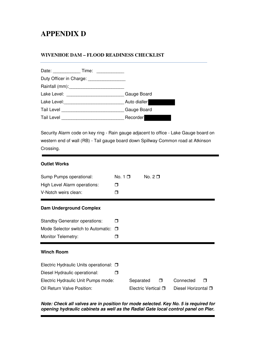# **APPENDIX D**

#### **WIVENHOE DAM – FLOOD READINESS CHECKLIST**

|                                                                                                                                                                                                                                | Date: Time:             |              |
|--------------------------------------------------------------------------------------------------------------------------------------------------------------------------------------------------------------------------------|-------------------------|--------------|
|                                                                                                                                                                                                                                | Duty Officer in Charge: |              |
|                                                                                                                                                                                                                                |                         |              |
|                                                                                                                                                                                                                                |                         | Gauge Board  |
| Lake Level: Management Care and Care and Care and Care and Care and Care and Care and Care and Care and Care and Care and Care and Care and Care and Care and Care and Care and Care and Care and Care and Care and Care and C |                         | Auto dialler |
|                                                                                                                                                                                                                                |                         | Gauge Board  |
| Tail Level                                                                                                                                                                                                                     |                         | Recorder     |

Security Alarm code on key ring - Rain gauge adjacent to office - Lake Gauge board on western end of wall (RB) - Tail gauge board down Spillway Common road at Atkinson Crossing.

#### **Outlet Works**

| Sump Pumps operational:<br>High Level Alarm operations:<br>V-Notch weirs clean: | No. $1\Box$<br>⊓<br>⊓ |           | No. $2\Box$         |        |                     |   |
|---------------------------------------------------------------------------------|-----------------------|-----------|---------------------|--------|---------------------|---|
| Dam Underground Complex                                                         |                       |           |                     |        |                     |   |
| <b>Standby Generator operations:</b>                                            | П                     |           |                     |        |                     |   |
| Mode Selector switch to Automatic:                                              | $\Box$                |           |                     |        |                     |   |
| Monitor Telemetry:                                                              | ⊓                     |           |                     |        |                     |   |
| <b>Winch Room</b>                                                               |                       |           |                     |        |                     |   |
| Electric Hydraulic Units operational: $\Box$                                    |                       |           |                     |        |                     |   |
| Diesel Hydraulic operational:                                                   | ⊓                     |           |                     |        |                     |   |
| Electric Hydraulic Unit Pumps mode:                                             |                       | Separated |                     | $\Box$ | Connected           | ⊓ |
| Oil Return Valve Position:                                                      |                       |           | Electric Vertical □ |        | Diesel Horizontal O |   |

#### *Note: Check all valves are in position for mode selected. Key No. 5 is required for opening hydraulic cabinets as well as the Radial Gate local control panel on Pier.*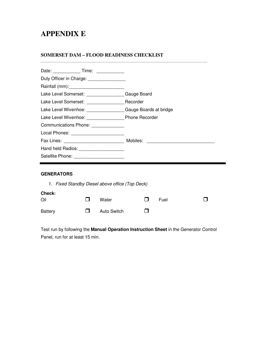## **APPENDIX E**

#### **SOMERSET DAM – FLOOD READINESS CHECKLIST**

| Duty Officer in Charge: ________________             |  |
|------------------------------------------------------|--|
|                                                      |  |
| Lake Level Somerset: ____________________Gauge Board |  |
| Lake Level Somerset: Recorder                        |  |
| Lake Level Wivenhoe: Gauge Boards at bridge          |  |
|                                                      |  |
| Communications Phone: _____________                  |  |
| Local Phones: _______________________                |  |
|                                                      |  |
| Hand held Radios: ______________________             |  |
| Satellite Phone: _________________________           |  |
|                                                      |  |

## **GENERATORS**

|                |                                                                                                                                                                                                                                      | 1. Fixed Standby Diesel above office (Top Deck) |              |      |  |
|----------------|--------------------------------------------------------------------------------------------------------------------------------------------------------------------------------------------------------------------------------------|-------------------------------------------------|--------------|------|--|
| Check:<br>Oil  | $\mathbf{I}$                                                                                                                                                                                                                         | Water                                           | $\mathbf{L}$ | Fuel |  |
| <b>Battery</b> | <b>The Contract of the Contract of the Contract of the Contract of the Contract of the Contract of the Contract of the Contract of the Contract of the Contract of the Contract of the Contract of the Contract of the Contract </b> | <b>Auto Switch</b>                              | . .          |      |  |

Test run by following the **Manual Operation Instruction Sheet** in the Generator Control Panel, run for at least 15 min.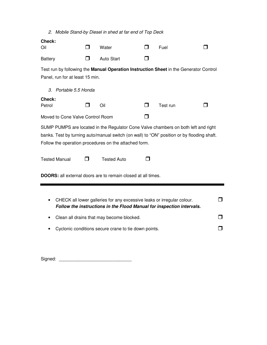|                      |        | 2. Mobile Stand-by Diesel in shed at far end of Top Deck            |                                                                     |                                                       |                                                                                                                                                                                                                                                                           |
|----------------------|--------|---------------------------------------------------------------------|---------------------------------------------------------------------|-------------------------------------------------------|---------------------------------------------------------------------------------------------------------------------------------------------------------------------------------------------------------------------------------------------------------------------------|
| Check:               | П      | Water                                                               | П                                                                   | Fuel                                                  | П                                                                                                                                                                                                                                                                         |
| <b>Battery</b>       | $\Box$ | <b>Auto Start</b>                                                   | П                                                                   |                                                       |                                                                                                                                                                                                                                                                           |
|                      |        |                                                                     |                                                                     |                                                       |                                                                                                                                                                                                                                                                           |
|                      |        |                                                                     |                                                                     |                                                       |                                                                                                                                                                                                                                                                           |
| Check:               |        | Oil                                                                 | П                                                                   | Test run                                              | ш                                                                                                                                                                                                                                                                         |
|                      |        |                                                                     | П                                                                   |                                                       |                                                                                                                                                                                                                                                                           |
| <b>Tested Manual</b> | П      | <b>Tested Auto</b>                                                  | ⊓                                                                   |                                                       |                                                                                                                                                                                                                                                                           |
|                      |        | <b>DOORS:</b> all external doors are to remain closed at all times. |                                                                     |                                                       |                                                                                                                                                                                                                                                                           |
|                      |        | Portable 5.5 Honda                                                  | Panel, run for at least 15 min.<br>Moved to Cone Valve Control Room | Follow the operation procedures on the attached form. | Test run by following the Manual Operation Instruction Sheet in the Generator Control<br>SUMP PUMPS are located in the Regulator Cone Valve chambers on both left and right<br>banks. Test by turning auto/manual switch (on wall) to "ON" position or by flooding shaft. |

Signed: \_\_\_\_\_\_\_\_\_\_\_\_\_\_\_\_\_\_\_\_\_\_\_\_\_\_\_\_\_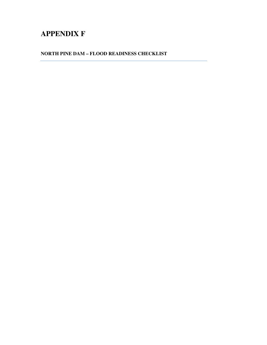# **APPENDIX F**

**NORTH PINE DAM – FLOOD READINESS CHECKLIST**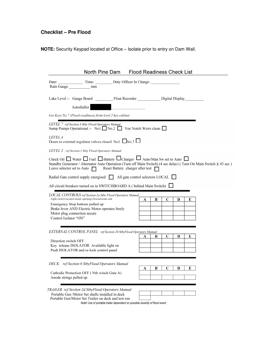## **Checklist – Pre Flood**

**NOTE:** Security Keypad located at Office – Isolate prior to entry on Dam Wall.

| North Pine Dam Flood Readiness Check List                                                                                                                                                                                                                                                                |
|----------------------------------------------------------------------------------------------------------------------------------------------------------------------------------------------------------------------------------------------------------------------------------------------------------|
| Date: Time: Duty Officer In Charge:<br>Rain Gauge<br>mm                                                                                                                                                                                                                                                  |
| Autodialler                                                                                                                                                                                                                                                                                              |
| Get Keys No.7 (Flood readiness) from level 2 key cabinet                                                                                                                                                                                                                                                 |
| LEVEL 7 ref Section 3 Stby Flood Operators Manual<br>Sump Pumps Operational :- No1. $\Box$ No.2 $\Box$ Vee Notch Weirs clean $\Box$                                                                                                                                                                      |
| <i>LEVEL 4</i><br>Doors to external regulator valves closed No1. $\Box$ No.2 $\Box$                                                                                                                                                                                                                      |
| LEVEL 2 ref Section 5 Stby Flood Operators Manual                                                                                                                                                                                                                                                        |
| Check Oil $\Box$ Water $\Box$ Fuel $\Box$ Battery $\Box$ Charger $\Box$ Auto/Man Sw set to Auto $\Box$<br>Standby Generator / Alternator Auto Operation (Turn off Main Switch) (4 sec delay) (Turn On Main Switch) (43 sec)<br>Leave selector set to Auto $\Box$ Reset Battery charger after test $\Box$ |
| Radial Gate control supply energised $\Box$ All gate control selectors LOCAL $\Box$                                                                                                                                                                                                                      |
| All circuit breakers turned on in SWITCHBOARD A (behind Main Switch) $\lfloor$                                                                                                                                                                                                                           |
| LOCAL CONTROLS ref Section 2a Stby Flood Operators Manual<br>Light switch located inside opening-Downstream side<br>C<br>A<br>В<br>D<br>E<br>Emergency Stop buttons pulled up<br>Brake lever AND Electric Motor operates freely<br>Motor plug connection secure<br>Control Isolator "ON"                 |
| EXTERNAL CONTROL PANEL ref Section 2b StbyFlood Operators Manual<br>C<br>В<br>D<br>Е<br>А<br>Direction switch OFF<br>Key release ISOLATOR Available light on<br>Push ISOLATOR and re-lock control panel                                                                                                  |
| DECK ref Section 6 StbyFlood Operators Manual<br>B<br>C<br>D<br>E<br>А<br>Cathodic Protection OFF (Nth winch Gate A)                                                                                                                                                                                     |
| Anode strings pulled up                                                                                                                                                                                                                                                                                  |
| TRAILER ref Section 2d StbyFlood Operators Manual<br>Portable Gen /Motor Set shafts installed in deck<br>Portable Gen/Motor Set Trailer on deck and test run<br>Note! Use of portable trailer dependent on possible severity of flood event.                                                             |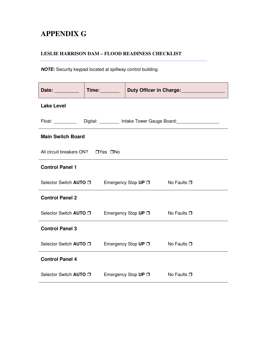# **APPENDIX G**

## **LESLIE HARRISON DAM – FLOOD READINESS CHECKLIST**

*NOTE:* Security keypad located at spillway control building.

| Date: <b>Date</b>                                                                | Time: |                                                        | Duty Officer in Charge:<br><u>Duty Officer</u> in Charge: |
|----------------------------------------------------------------------------------|-------|--------------------------------------------------------|-----------------------------------------------------------|
| <b>Lake Level</b>                                                                |       |                                                        |                                                           |
| Float: ____________ Digital: __________ Intake Tower Gauge Board: ______________ |       |                                                        |                                                           |
| <b>Main Switch Board</b>                                                         |       |                                                        |                                                           |
| All circuit breakers ON? □ Yes □ No                                              |       |                                                        |                                                           |
| <b>Control Panel 1</b>                                                           |       |                                                        |                                                           |
|                                                                                  |       | Selector Switch AUTO □ Emergency Stop UP □ No Faults □ |                                                           |
| <b>Control Panel 2</b>                                                           |       |                                                        |                                                           |
| Selector Switch AUTO O                                                           |       | Emergency Stop UP □ No Faults □                        |                                                           |
| <b>Control Panel 3</b>                                                           |       |                                                        |                                                           |
| Selector Switch AUTO □                                                           |       | Emergency Stop $UP \Box$                               | No Faults $\Box$                                          |
| <b>Control Panel 4</b>                                                           |       |                                                        |                                                           |
| Selector Switch AUTO O                                                           |       | Emergency Stop UP □                                    | No Faults $\Box$                                          |